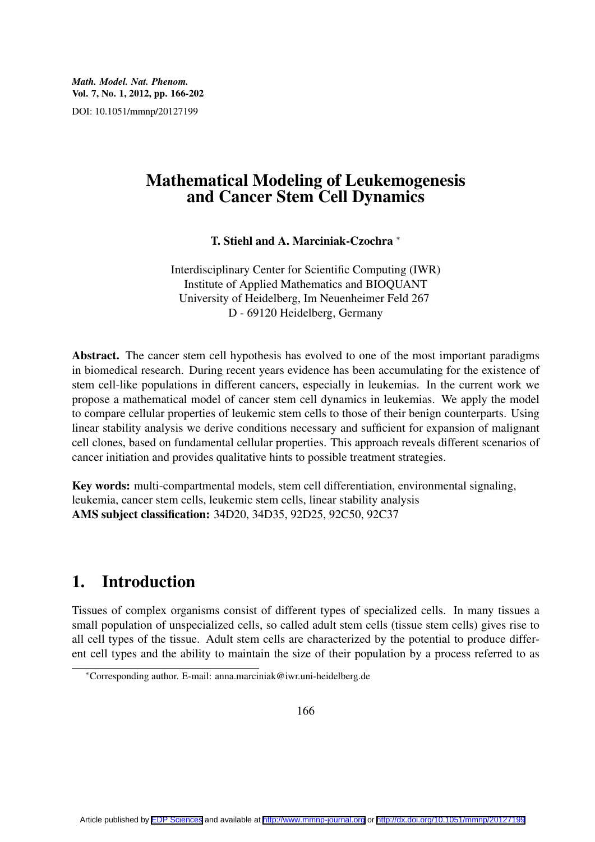## Mathematical Modeling of Leukemogenesis and Cancer Stem Cell Dynamics

T. Stiehl and A. Marciniak-Czochra *<sup>∗</sup>*

Interdisciplinary Center for Scientific Computing (IWR) Institute of Applied Mathematics and BIOQUANT University of Heidelberg, Im Neuenheimer Feld 267 D - 69120 Heidelberg, Germany

Abstract. The cancer stem cell hypothesis has evolved to one of the most important paradigms in biomedical research. During recent years evidence has been accumulating for the existence of stem cell-like populations in different cancers, especially in leukemias. In the current work we propose a mathematical model of cancer stem cell dynamics in leukemias. We apply the model to compare cellular properties of leukemic stem cells to those of their benign counterparts. Using linear stability analysis we derive conditions necessary and sufficient for expansion of malignant cell clones, based on fundamental cellular properties. This approach reveals different scenarios of cancer initiation and provides qualitative hints to possible treatment strategies.

Key words: multi-compartmental models, stem cell differentiation, environmental signaling, leukemia, cancer stem cells, leukemic stem cells, linear stability analysis AMS subject classification: 34D20, 34D35, 92D25, 92C50, 92C37

# 1. Introduction

Tissues of complex organisms consist of different types of specialized cells. In many tissues a small population of unspecialized cells, so called adult stem cells (tissue stem cells) gives rise to all cell types of the tissue. Adult stem cells are characterized by the potential to produce different cell types and the ability to maintain the size of their population by a process referred to as

166

*<sup>∗</sup>*Corresponding author. E-mail: anna.marciniak@iwr.uni-heidelberg.de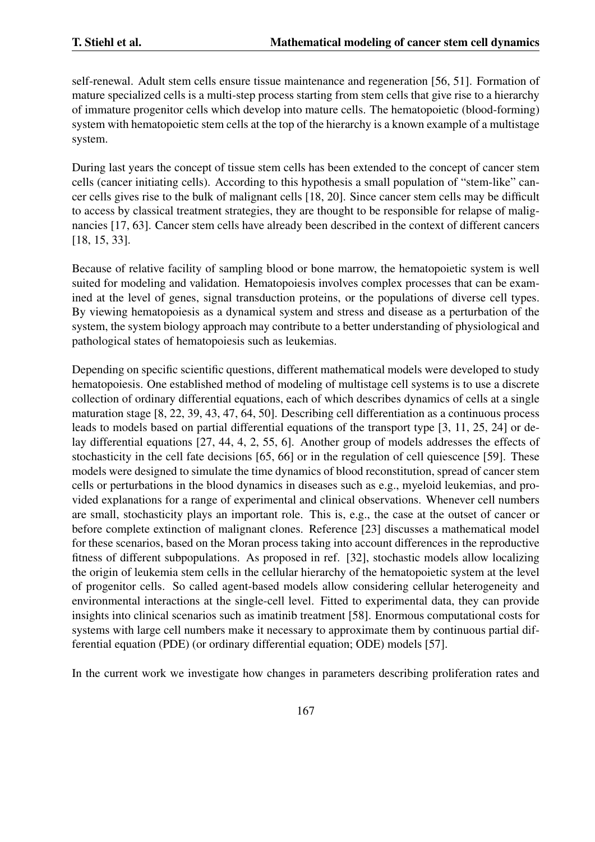self-renewal. Adult stem cells ensure tissue maintenance and regeneration [56, 51]. Formation of mature specialized cells is a multi-step process starting from stem cells that give rise to a hierarchy of immature progenitor cells which develop into mature cells. The hematopoietic (blood-forming) system with hematopoietic stem cells at the top of the hierarchy is a known example of a multistage system.

During last years the concept of tissue stem cells has been extended to the concept of cancer stem cells (cancer initiating cells). According to this hypothesis a small population of "stem-like" cancer cells gives rise to the bulk of malignant cells [18, 20]. Since cancer stem cells may be difficult to access by classical treatment strategies, they are thought to be responsible for relapse of malignancies [17, 63]. Cancer stem cells have already been described in the context of different cancers [18, 15, 33].

Because of relative facility of sampling blood or bone marrow, the hematopoietic system is well suited for modeling and validation. Hematopoiesis involves complex processes that can be examined at the level of genes, signal transduction proteins, or the populations of diverse cell types. By viewing hematopoiesis as a dynamical system and stress and disease as a perturbation of the system, the system biology approach may contribute to a better understanding of physiological and pathological states of hematopoiesis such as leukemias.

Depending on specific scientific questions, different mathematical models were developed to study hematopoiesis. One established method of modeling of multistage cell systems is to use a discrete collection of ordinary differential equations, each of which describes dynamics of cells at a single maturation stage [8, 22, 39, 43, 47, 64, 50]. Describing cell differentiation as a continuous process leads to models based on partial differential equations of the transport type [3, 11, 25, 24] or delay differential equations [27, 44, 4, 2, 55, 6]. Another group of models addresses the effects of stochasticity in the cell fate decisions [65, 66] or in the regulation of cell quiescence [59]. These models were designed to simulate the time dynamics of blood reconstitution, spread of cancer stem cells or perturbations in the blood dynamics in diseases such as e.g., myeloid leukemias, and provided explanations for a range of experimental and clinical observations. Whenever cell numbers are small, stochasticity plays an important role. This is, e.g., the case at the outset of cancer or before complete extinction of malignant clones. Reference [23] discusses a mathematical model for these scenarios, based on the Moran process taking into account differences in the reproductive fitness of different subpopulations. As proposed in ref. [32], stochastic models allow localizing the origin of leukemia stem cells in the cellular hierarchy of the hematopoietic system at the level of progenitor cells. So called agent-based models allow considering cellular heterogeneity and environmental interactions at the single-cell level. Fitted to experimental data, they can provide insights into clinical scenarios such as imatinib treatment [58]. Enormous computational costs for systems with large cell numbers make it necessary to approximate them by continuous partial differential equation (PDE) (or ordinary differential equation; ODE) models [57].

In the current work we investigate how changes in parameters describing proliferation rates and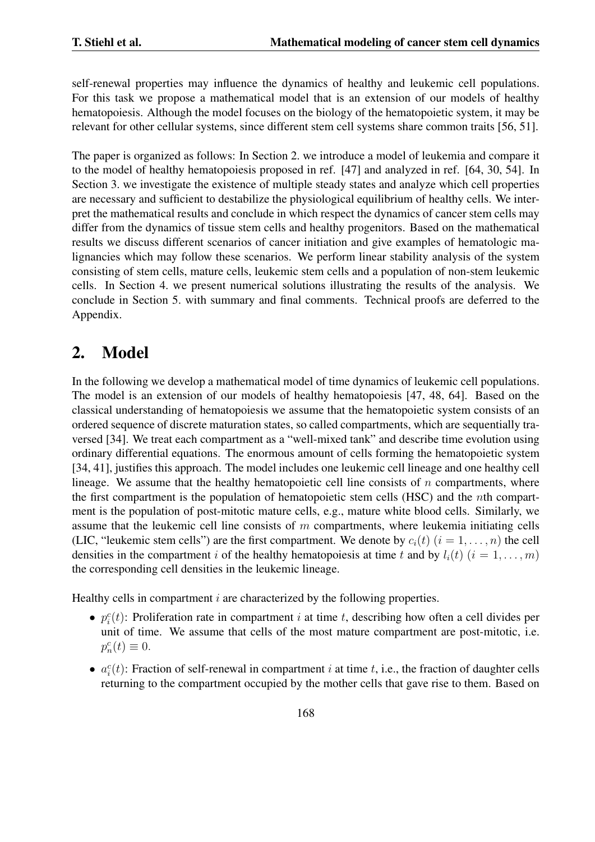self-renewal properties may influence the dynamics of healthy and leukemic cell populations. For this task we propose a mathematical model that is an extension of our models of healthy hematopoiesis. Although the model focuses on the biology of the hematopoietic system, it may be relevant for other cellular systems, since different stem cell systems share common traits [56, 51].

The paper is organized as follows: In Section 2. we introduce a model of leukemia and compare it to the model of healthy hematopoiesis proposed in ref. [47] and analyzed in ref. [64, 30, 54]. In Section 3. we investigate the existence of multiple steady states and analyze which cell properties are necessary and sufficient to destabilize the physiological equilibrium of healthy cells. We interpret the mathematical results and conclude in which respect the dynamics of cancer stem cells may differ from the dynamics of tissue stem cells and healthy progenitors. Based on the mathematical results we discuss different scenarios of cancer initiation and give examples of hematologic malignancies which may follow these scenarios. We perform linear stability analysis of the system consisting of stem cells, mature cells, leukemic stem cells and a population of non-stem leukemic cells. In Section 4. we present numerical solutions illustrating the results of the analysis. We conclude in Section 5. with summary and final comments. Technical proofs are deferred to the Appendix.

# 2. Model

In the following we develop a mathematical model of time dynamics of leukemic cell populations. The model is an extension of our models of healthy hematopoiesis [47, 48, 64]. Based on the classical understanding of hematopoiesis we assume that the hematopoietic system consists of an ordered sequence of discrete maturation states, so called compartments, which are sequentially traversed [34]. We treat each compartment as a "well-mixed tank" and describe time evolution using ordinary differential equations. The enormous amount of cells forming the hematopoietic system [34, 41], justifies this approach. The model includes one leukemic cell lineage and one healthy cell lineage. We assume that the healthy hematopoietic cell line consists of  $n$  compartments, where the first compartment is the population of hematopoietic stem cells (HSC) and the *n*th compartment is the population of post-mitotic mature cells, e.g., mature white blood cells. Similarly, we assume that the leukemic cell line consists of *m* compartments, where leukemia initiating cells (LIC, "leukemic stem cells") are the first compartment. We denote by  $c_i(t)$  ( $i = 1, \ldots, n$ ) the cell densities in the compartment *i* of the healthy hematopoiesis at time *t* and by  $l_i(t)$  ( $i = 1, \ldots, m$ ) the corresponding cell densities in the leukemic lineage.

Healthy cells in compartment *i* are characterized by the following properties.

- $p_i^c(t)$ : Proliferation rate in compartment *i* at time *t*, describing how often a cell divides per unit of time. We assume that cells of the most mature compartment are post-mitotic, i.e.  $p_n^c(t) \equiv 0.$
- $a_i^c(t)$ : Fraction of self-renewal in compartment *i* at time *t*, i.e., the fraction of daughter cells returning to the compartment occupied by the mother cells that gave rise to them. Based on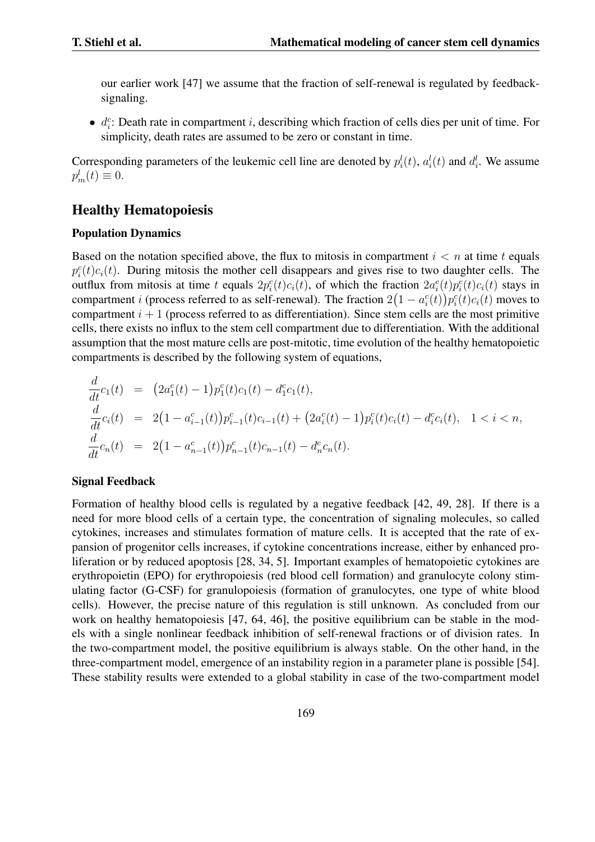our earlier work [47] we assume that the fraction of self-renewal is regulated by feedbacksignaling.

*• d*<sup>*c*</sup>: Death rate in compartment *i*, describing which fraction of cells dies per unit of time. For simplicity, death rates are assumed to be zero or constant in time.

Corresponding parameters of the leukemic cell line are denoted by  $p_i^l(t)$ ,  $a_i^l(t)$  and  $d_i^l$ . We assume  $p_m^l(t) \equiv 0.$ 

## Healthy Hematopoiesis

### Population Dynamics

Based on the notation specified above, the flux to mitosis in compartment  $i < n$  at time  $t$  equals  $p_i^c(t)c_i(t)$ . During mitosis the mother cell disappears and gives rise to two daughter cells. The outflux from mitosis at time t equals  $2p_i^c(t)c_i(t)$ , of which the fraction  $2a_i^c(t)p_i^c(t)c_i(t)$  stays in compartment *i* (process referred to as self-renewal). The fraction  $2(1 - a_i^c(t))p_i^c(t)c_i(t)$  moves to compartment  $i + 1$  (process referred to as differentiation). Since stem cells are the most primitive cells, there exists no influx to the stem cell compartment due to differentiation. With the additional assumption that the most mature cells are post-mitotic, time evolution of the healthy hematopoietic compartments is described by the following system of equations,

$$
\frac{d}{dt}c_1(t) = (2a_1^c(t) - 1)p_1^c(t)c_1(t) - d_1^c c_1(t),
$$
\n
$$
\frac{d}{dt}c_i(t) = 2(1 - a_{i-1}^c(t))p_{i-1}^c(t)c_{i-1}(t) + (2a_i^c(t) - 1)p_i^c(t)c_i(t) - d_i^c c_i(t), \quad 1 < i < n,
$$
\n
$$
\frac{d}{dt}c_n(t) = 2(1 - a_{n-1}^c(t))p_{n-1}^c(t)c_{n-1}(t) - d_n^c c_n(t).
$$

#### Signal Feedback

Formation of healthy blood cells is regulated by a negative feedback [42, 49, 28]. If there is a need for more blood cells of a certain type, the concentration of signaling molecules, so called cytokines, increases and stimulates formation of mature cells. It is accepted that the rate of expansion of progenitor cells increases, if cytokine concentrations increase, either by enhanced proliferation or by reduced apoptosis [28, 34, 5]. Important examples of hematopoietic cytokines are erythropoietin (EPO) for erythropoiesis (red blood cell formation) and granulocyte colony stimulating factor (G-CSF) for granulopoiesis (formation of granulocytes, one type of white blood cells). However, the precise nature of this regulation is still unknown. As concluded from our work on healthy hematopoiesis [47, 64, 46], the positive equilibrium can be stable in the models with a single nonlinear feedback inhibition of self-renewal fractions or of division rates. In the two-compartment model, the positive equilibrium is always stable. On the other hand, in the three-compartment model, emergence of an instability region in a parameter plane is possible [54]. These stability results were extended to a global stability in case of the two-compartment model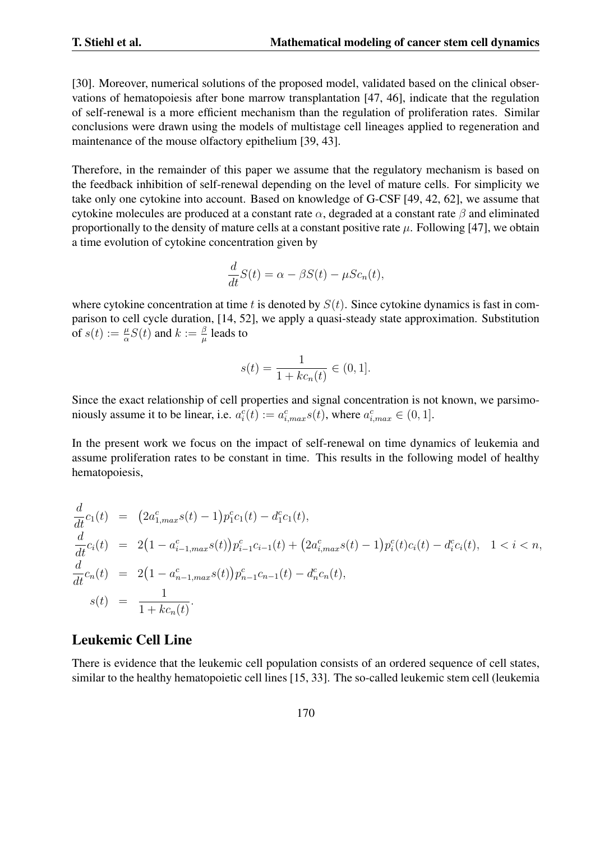[30]. Moreover, numerical solutions of the proposed model, validated based on the clinical observations of hematopoiesis after bone marrow transplantation [47, 46], indicate that the regulation of self-renewal is a more efficient mechanism than the regulation of proliferation rates. Similar conclusions were drawn using the models of multistage cell lineages applied to regeneration and maintenance of the mouse olfactory epithelium [39, 43].

Therefore, in the remainder of this paper we assume that the regulatory mechanism is based on the feedback inhibition of self-renewal depending on the level of mature cells. For simplicity we take only one cytokine into account. Based on knowledge of G-CSF [49, 42, 62], we assume that cytokine molecules are produced at a constant rate *α*, degraded at a constant rate *β* and eliminated proportionally to the density of mature cells at a constant positive rate  $\mu$ . Following [47], we obtain a time evolution of cytokine concentration given by

$$
\frac{d}{dt}S(t) = \alpha - \beta S(t) - \mu Sc_n(t),
$$

where cytokine concentration at time  $t$  is denoted by  $S(t)$ . Since cytokine dynamics is fast in comparison to cell cycle duration, [14, 52], we apply a quasi-steady state approximation. Substitution of  $s(t) := \frac{\mu}{\alpha} S(t)$  and  $k := \frac{\beta}{\mu}$  $\frac{\beta}{\mu}$  leads to

$$
s(t) = \frac{1}{1 + kc_n(t)} \in (0, 1].
$$

Since the exact relationship of cell properties and signal concentration is not known, we parsimoniously assume it to be linear, i.e.  $a_i^c(t) := a_{i,max}^c s(t)$ , where  $a_{i,max}^c \in (0, 1]$ .

In the present work we focus on the impact of self-renewal on time dynamics of leukemia and assume proliferation rates to be constant in time. This results in the following model of healthy hematopoiesis,

$$
\frac{d}{dt}c_1(t) = (2a_{1,max}^c s(t) - 1)p_1^c c_1(t) - d_1^c c_1(t),
$$
\n
$$
\frac{d}{dt}c_i(t) = 2(1 - a_{i-1,max}^c s(t))p_{i-1}^c c_{i-1}(t) + (2a_{i,max}^c s(t) - 1)p_i^c(t)c_i(t) - d_i^c c_i(t), \quad 1 < i < n,
$$
\n
$$
\frac{d}{dt}c_n(t) = 2(1 - a_{n-1,max}^c s(t))p_{n-1}^c c_{n-1}(t) - d_n^c c_n(t),
$$
\n
$$
s(t) = \frac{1}{1 + kc_n(t)}.
$$

## Leukemic Cell Line

There is evidence that the leukemic cell population consists of an ordered sequence of cell states, similar to the healthy hematopoietic cell lines [15, 33]. The so-called leukemic stem cell (leukemia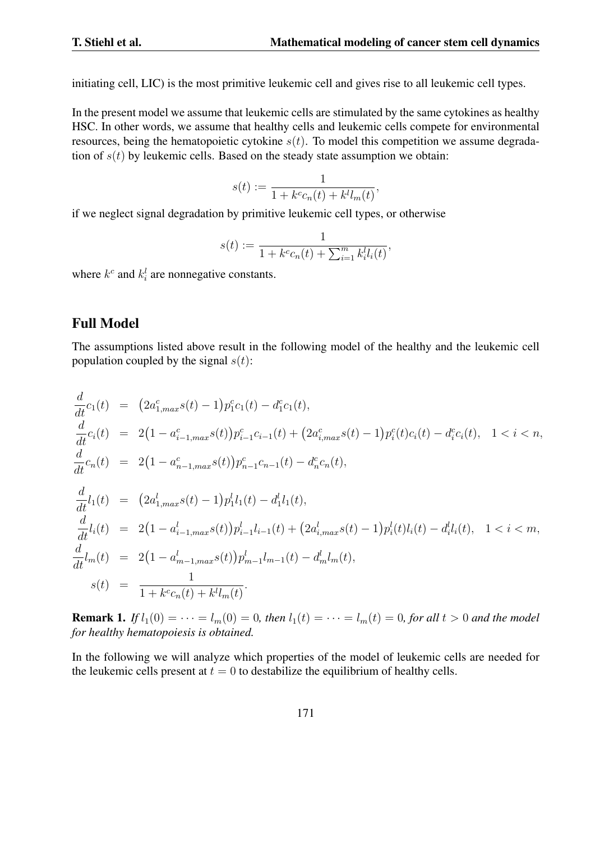initiating cell, LIC) is the most primitive leukemic cell and gives rise to all leukemic cell types.

In the present model we assume that leukemic cells are stimulated by the same cytokines as healthy HSC. In other words, we assume that healthy cells and leukemic cells compete for environmental resources, being the hematopoietic cytokine  $s(t)$ . To model this competition we assume degradation of  $s(t)$  by leukemic cells. Based on the steady state assumption we obtain:

$$
s(t) := \frac{1}{1 + k^c c_n(t) + k^l l_m(t)},
$$

if we neglect signal degradation by primitive leukemic cell types, or otherwise

$$
s(t) := \frac{1}{1 + k^c c_n(t) + \sum_{i=1}^m k_i^l l_i(t)},
$$

where  $k^c$  and  $k_i^l$  are nonnegative constants.

### Full Model

The assumptions listed above result in the following model of the healthy and the leukemic cell population coupled by the signal  $s(t)$ :

$$
\frac{d}{dt}c_1(t) = (2a_{1,max}^c s(t) - 1)p_1^c c_1(t) - d_1^c c_1(t),
$$
\n
$$
\frac{d}{dt}c_i(t) = 2(1 - a_{i-1,max}^c s(t))p_{i-1}^c c_{i-1}(t) + (2a_{i,max}^c s(t) - 1)p_i^c(t)c_i(t) - d_i^c c_i(t), 1 < i < n,
$$
\n
$$
\frac{d}{dt}c_n(t) = 2(1 - a_{n-1,max}^c s(t))p_{n-1}^c c_{n-1}(t) - d_n^c c_n(t),
$$
\n
$$
\frac{d}{dt}l_1(t) = (2a_{1,max}^l s(t) - 1)p_1^l l_1(t) - d_1^l l_1(t),
$$
\n
$$
\frac{d}{dt}l_i(t) = 2(1 - a_{i-1,max}^l s(t))p_{i-1}^l l_{i-1}(t) + (2a_{i,max}^l s(t) - 1)p_i^l(t)l_i(t) - d_i^l l_i(t), 1 < i < m,
$$
\n
$$
\frac{d}{dt}l_m(t) = 2(1 - a_{m-1,max}^l s(t))p_{m-1}^l l_{m-1}(t) - d_m^l l_m(t),
$$
\n
$$
s(t) = \frac{1}{1 + k^c c_n(t) + k^l l_m(t)}.
$$

**Remark 1.** If  $l_1(0) = \cdots = l_m(0) = 0$ , then  $l_1(t) = \cdots = l_m(t) = 0$ , for all  $t > 0$  and the model *for healthy hematopoiesis is obtained.*

In the following we will analyze which properties of the model of leukemic cells are needed for the leukemic cells present at  $t = 0$  to destabilize the equilibrium of healthy cells.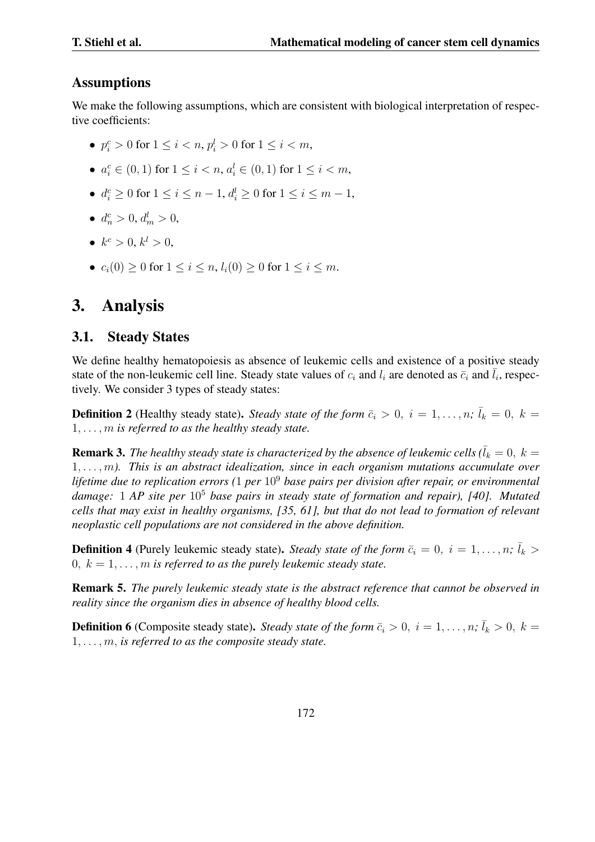### **Assumptions**

We make the following assumptions, which are consistent with biological interpretation of respective coefficients:

- $p_i^c > 0$  for  $1 \le i < n$ ,  $p_i^l > 0$  for  $1 \le i < m$ ,
- $a_i^c \in (0,1)$  for  $1 \le i < n$ ,  $a_i^l \in (0,1)$  for  $1 \le i < m$ ,
- $d_i^c \ge 0$  for  $1 \le i \le n-1$ ,  $d_i^l \ge 0$  for  $1 \le i \le m-1$ ,
- $d_n^c > 0, d_m^l > 0,$
- $k^c > 0, k^l > 0,$
- *•*  $c_i(0) \ge 0$  for  $1 \le i \le n$ ,  $l_i(0) \ge 0$  for  $1 \le i \le m$ .

# 3. Analysis

## 3.1. Steady States

We define healthy hematopoiesis as absence of leukemic cells and existence of a positive steady state of the non-leukemic cell line. Steady state values of  $c_i$  and  $l_i$  are denoted as  $\bar{c}_i$  and  $\bar{l}_i$ , respectively. We consider 3 types of steady states:

**Definition 2** (Healthy steady state). *Steady state of the form*  $\bar{c}_i > 0$ ,  $i = 1, \ldots, n$ ;  $\bar{l}_k = 0$ ,  $k =$ 1*, . . . , m is referred to as the healthy steady state.*

**Remark 3.** The healthy steady state is characterized by the absence of leukemic cells ( $\bar{l}_k = 0, k = 0$ 1*, . . . , m). This is an abstract idealization, since in each organism mutations accumulate over lifetime due to replication errors (*1 *per* 10<sup>9</sup> *base pairs per division after repair, or environmental damage:* 1 *AP site per* 10<sup>5</sup> *base pairs in steady state of formation and repair), [40]. Mutated cells that may exist in healthy organisms, [35, 61], but that do not lead to formation of relevant neoplastic cell populations are not considered in the above definition.*

**Definition 4** (Purely leukemic steady state). *Steady state of the form*  $\bar{c}_i = 0, i = 1, \ldots, n$ ;  $\bar{l}_k >$  $0, k = 1, \ldots, m$  *is referred to as the purely leukemic steady state.* 

Remark 5. *The purely leukemic steady state is the abstract reference that cannot be observed in reality since the organism dies in absence of healthy blood cells.*

**Definition 6** (Composite steady state). *Steady state of the form*  $\bar{c}_i > 0$ ,  $i = 1, \ldots, n$ ;  $\bar{l}_k > 0$ ,  $k =$ 1*, . . . , m, is referred to as the composite steady state.*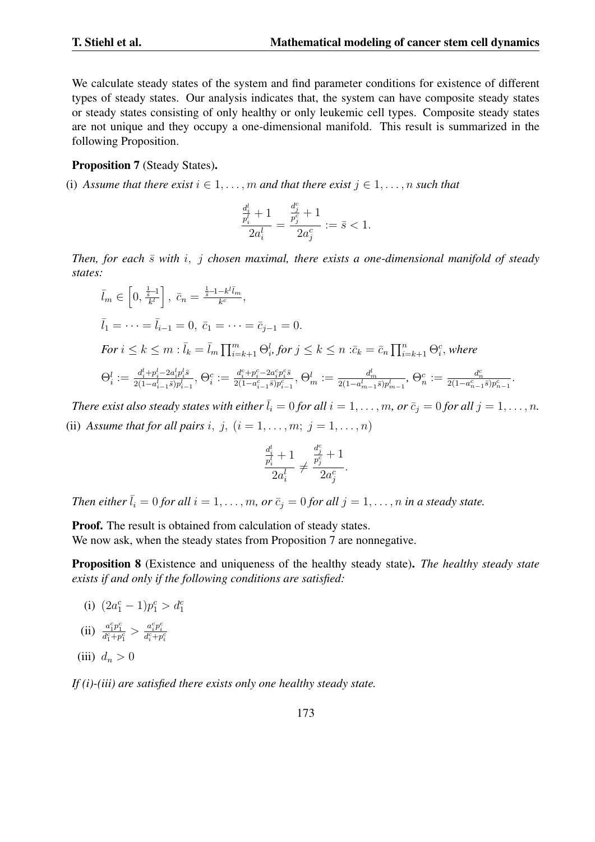We calculate steady states of the system and find parameter conditions for existence of different types of steady states. Our analysis indicates that, the system can have composite steady states or steady states consisting of only healthy or only leukemic cell types. Composite steady states are not unique and they occupy a one-dimensional manifold. This result is summarized in the following Proposition.

#### Proposition 7 (Steady States).

(i) *Assume that there exist*  $i \in 1, \ldots, m$  *and that there exist*  $j \in 1, \ldots, n$  *such that* 

$$
\frac{\frac{d_i^l}{p_i^l}+1}{2a_i^l}=\frac{\frac{d_j^c}{p_j^c}+1}{2a_j^c}:=\bar{s}<1.
$$

*Then, for each*  $\bar{s}$  *with*  $i$ ,  $j$  *chosen maximal, there exists a one-dimensional manifold of steady states:*

$$
\bar{l}_m \in \left[0, \frac{\frac{1}{\bar{s}}-1}{k^l}\right], \quad \bar{c}_n = \frac{\frac{1}{\bar{s}}-1-k^l\bar{l}_m}{k^c},
$$
\n
$$
\bar{l}_1 = \dots = \bar{l}_{i-1} = 0, \quad \bar{c}_1 = \dots = \bar{c}_{j-1} = 0.
$$
\n
$$
\text{For } i \leq k \leq m : \bar{l}_k = \bar{l}_m \prod_{i=k+1}^m \Theta_i^l, \text{ for } j \leq k \leq n : \bar{c}_k = \bar{c}_n \prod_{i=k+1}^n \Theta_i^c, \text{ where}
$$
\n
$$
\Theta_i^l := \frac{d_i^l + p_i^l - 2a_i^l p_i^l \bar{s}}{2(1-a_{i-1}^l\bar{s})p_{i-1}^l}, \quad \Theta_i^c := \frac{d_i^c + p_i^c - 2a_i^c p_i^c \bar{s}}{2(1-a_{i-1}^c\bar{s})p_{i-1}^c}, \quad \Theta_m^l := \frac{d_m^l}{2(1-a_{m-1}^l\bar{s})p_{m-1}^l}, \quad \Theta_n^c := \frac{d_n^c}{2(1-a_{n-1}^c\bar{s})p_{n-1}^c}.
$$

*There exist also steady states with either*  $\bar{l}_i = 0$  *for all*  $i = 1, \ldots, m$ *, or*  $\bar{c}_j = 0$  *for all*  $j = 1, \ldots, n$ *.* (ii) *Assume that for all pairs i, j,*  $(i = 1, \ldots, m; j = 1, \ldots, n)$ 

$$
\frac{\frac{d_i^l}{p_i^l}+1}{2a_i^l}\neq \frac{\frac{d_j^c}{p_j^c}+1}{2a_j^c}.
$$

*Then either*  $\bar{l}_i = 0$  *for all*  $i = 1, \ldots, m$ *, or*  $\bar{c}_i = 0$  *for all*  $j = 1, \ldots, n$  *in a steady state.* 

Proof. The result is obtained from calculation of steady states.

We now ask, when the steady states from Proposition 7 are nonnegative.

Proposition 8 (Existence and uniqueness of the healthy steady state). *The healthy steady state exists if and only if the following conditions are satisfied:*

- (i)  $(2a_1^c 1)p_1^c > d_1^c$ (ii)  $\frac{a_1^c p_1^c}{d_1^c + p_1^c} > \frac{a_i^c p_i^c}{d_i^c + p_i^c}$
- (iii)  $d_n > 0$

*If (i)-(iii) are satisfied there exists only one healthy steady state.*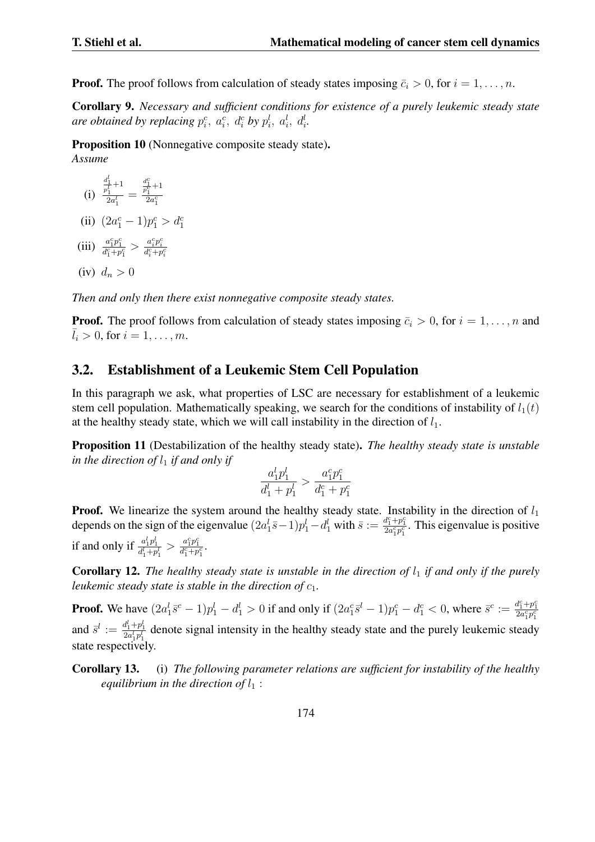**Proof.** The proof follows from calculation of steady states imposing  $\bar{c}_i > 0$ , for  $i = 1, \ldots, n$ .

Corollary 9. *Necessary and sufficient conditions for existence of a purely leukemic steady state are obtained by replacing*  $p_i^c$ *,*  $a_i^c$ *,*  $d_i^c$  *by*  $p_i^l$ *,*  $a_i^l$ *,*  $d_i^l$ *.* 

Proposition 10 (Nonnegative composite steady state). *Assume*

$$
(i) \frac{\frac{d_1^l}{p_1^l} + 1}{2a_1^l} = \frac{\frac{d_1^c}{p_1^c} + 1}{2a_1^c}
$$

(ii)  $(2a_1^c - 1)p_1^c > d_1^c$ 

(iii) 
$$
\frac{a_1^c p_1^c}{d_1^c + p_1^c} > \frac{a_i^c p_i^c}{d_i^c + p_i^c}
$$

$$
(iv) d_n > 0
$$

*Then and only then there exist nonnegative composite steady states.*

**Proof.** The proof follows from calculation of steady states imposing  $\bar{c}_i > 0$ , for  $i = 1, \ldots, n$  and  $l_i > 0$ , for  $i = 1, ..., m$ .

### 3.2. Establishment of a Leukemic Stem Cell Population

In this paragraph we ask, what properties of LSC are necessary for establishment of a leukemic stem cell population. Mathematically speaking, we search for the conditions of instability of  $l_1(t)$ at the healthy steady state, which we will call instability in the direction of  $l_1$ .

Proposition 11 (Destabilization of the healthy steady state). *The healthy steady state is unstable in the direction of*  $l_1$  *if and only if* 

$$
\frac{a_1^lp_1^l}{d_1^l + p_1^l} > \frac{a_1^cp_1^c}{d_1^c + p_1^c}
$$

**Proof.** We linearize the system around the healthy steady state. Instability in the direction of  $l_1$ depends on the sign of the eigenvalue  $(2a_1^l \bar{s}-1)p_1^l - d_1^l$  with  $\bar{s} := \frac{d_1^c + p_1^c}{2a_1^c p_1^c}$ . This eigenvalue is positive if and only if  $\frac{a_1^l p_1^l}{d_1^l + p_1^l} > \frac{a_1^c p_1^c}{d_1^c + p_1^c}$ .

Corollary 12. The healthy steady state is unstable in the direction of  $l_1$  if and only if the purely *leukemic steady state is stable in the direction of*  $c_1$ *.* 

**Proof.** We have  $(2a_1^l \bar{s}^c - 1)p_1^l - d_1^l > 0$  if and only if  $(2a_1^c \bar{s}^l - 1)p_1^c - d_1^c < 0$ , where  $\bar{s}^c := \frac{d_1^c + p_1^c}{2a_1^c p_1^c}$ and  $\bar{s}^l := \frac{d_1^l + p_1^l}{2a_1^l p_1^l}$  denote signal intensity in the healthy steady state and the purely leukemic steady state respectively.

Corollary 13. (i) *The following parameter relations are sufficient for instability of the healthy equilibrium in the direction of*  $l_1$ :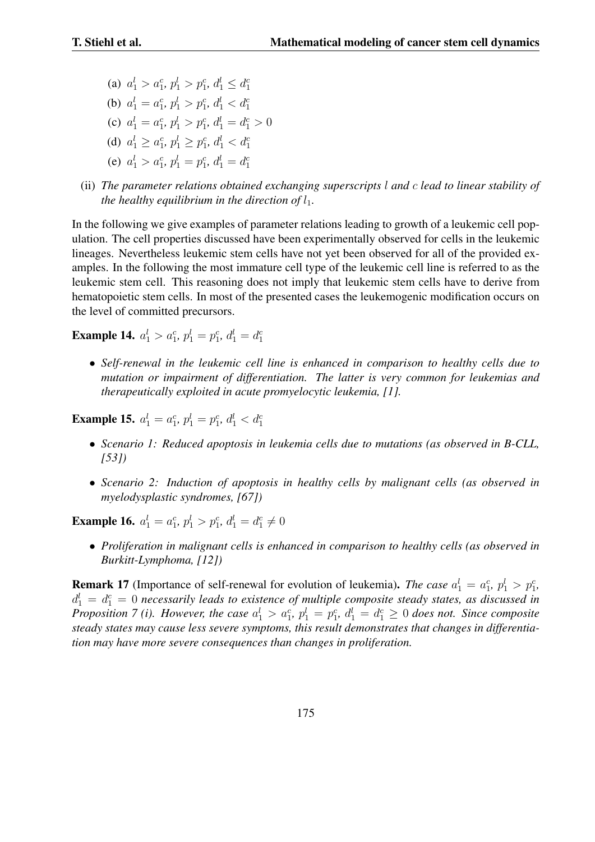(a)  $a_1^l > a_1^c, p_1^l > p_1^c, d_1^l \leq d_1^c$ (b)  $a_1^l = a_1^c, p_1^l > p_1^c, d_1^l < d_1^c$ (c)  $a_1^l = a_1^c, p_1^l > p_1^c, d_1^l = d_1^c > 0$ (d)  $a_1^l \geq a_1^c, p_1^l \geq p_1^c, d_1^l < d_1^c$ (e)  $a_1^l > a_1^c$ ,  $p_1^l = p_1^c$ ,  $d_1^l = d_1^c$ 

(ii) *The parameter relations obtained exchanging superscripts l and c lead to linear stability of the healthy equilibrium in the direction of*  $l_1$ *.* 

In the following we give examples of parameter relations leading to growth of a leukemic cell population. The cell properties discussed have been experimentally observed for cells in the leukemic lineages. Nevertheless leukemic stem cells have not yet been observed for all of the provided examples. In the following the most immature cell type of the leukemic cell line is referred to as the leukemic stem cell. This reasoning does not imply that leukemic stem cells have to derive from hematopoietic stem cells. In most of the presented cases the leukemogenic modification occurs on the level of committed precursors.

**Example 14.**  $a_1^l > a_1^c$ ,  $p_1^l = p_1^c$ ,  $d_1^l = d_1^c$ 

*• Self-renewal in the leukemic cell line is enhanced in comparison to healthy cells due to mutation or impairment of differentiation. The latter is very common for leukemias and therapeutically exploited in acute promyelocytic leukemia, [1].*

**Example 15.**  $a_1^l = a_1^c$ ,  $p_1^l = p_1^c$ ,  $d_1^l < d_1^c$ 

- *• Scenario 1: Reduced apoptosis in leukemia cells due to mutations (as observed in B-CLL, [53])*
- *• Scenario 2: Induction of apoptosis in healthy cells by malignant cells (as observed in myelodysplastic syndromes, [67])*

**Example 16.**  $a_1^l = a_1^c$ ,  $p_1^l > p_1^c$ ,  $d_1^l = d_1^c \neq 0$ 

*• Proliferation in malignant cells is enhanced in comparison to healthy cells (as observed in Burkitt-Lymphoma, [12])*

**Remark 17** (Importance of self-renewal for evolution of leukemia). *The case*  $a_1^l = a_1^c$ ,  $p_1^l > p_1^c$ ,  $d_1^l = d_1^c = 0$  necessarily leads to existence of multiple composite steady states, as discussed in Proposition 7 (i). However, the case  $a_1^l > a_1^c$ ,  $p_1^l = p_1^c$ ,  $d_1^l = d_1^c \geq 0$  does not. Since composite *steady states may cause less severe symptoms, this result demonstrates that changes in differentiation may have more severe consequences than changes in proliferation.*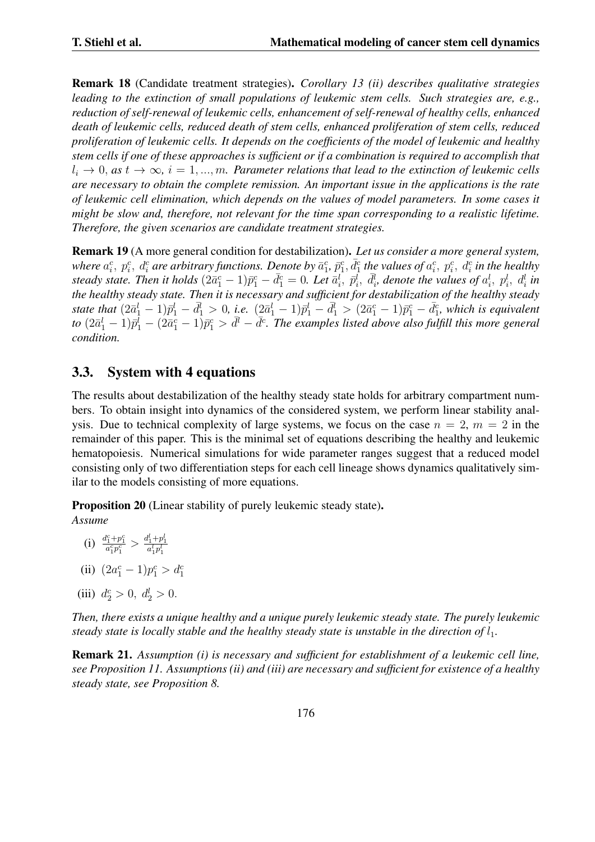Remark 18 (Candidate treatment strategies). *Corollary 13 (ii) describes qualitative strategies leading to the extinction of small populations of leukemic stem cells. Such strategies are, e.g., reduction of self-renewal of leukemic cells, enhancement of self-renewal of healthy cells, enhanced death of leukemic cells, reduced death of stem cells, enhanced proliferation of stem cells, reduced proliferation of leukemic cells. It depends on the coefficients of the model of leukemic and healthy stem cells if one of these approaches is sufficient or if a combination is required to accomplish that*  $l_i \rightarrow 0$ *, as*  $t \rightarrow \infty$ *,*  $i = 1, ..., m$ *. Parameter relations that lead to the extinction of leukemic cells are necessary to obtain the complete remission. An important issue in the applications is the rate of leukemic cell elimination, which depends on the values of model parameters. In some cases it might be slow and, therefore, not relevant for the time span corresponding to a realistic lifetime. Therefore, the given scenarios are candidate treatment strategies.*

Remark 19 (A more general condition for destabilization). *Let us consider a more general system,* where  $a_i^c,~p_i^c,~d_i^c$  are arbitrary functions. Denote by  $\bar a_1^c,~\bar p_1^c,~\bar d_1^c$  the values of  $a_i^c,~p_i^c,~d_i^c$  in the healthy steady state. Then it holds  $(2\bar{a}_1^c-1)\bar{p}_1^c-\bar{d}_1^c=0$ . Let  $\bar{a}_i^l$ ,  $\bar{p}_i^l$ ,  $\bar{d}_i^l$ , denote the values of  $a_i^l$ ,  $p_i^l$ ,  $d_i^l$  in *the healthy steady state. Then it is necessary and sufficient for destabilization of the healthy steady* state that  $(2\bar{a}_1^l - 1)\bar{p}_1^l - \bar{d}_1^l > 0$ , i.e.  $(2\bar{a}_1^l - 1)\bar{p}_1^l - \bar{d}_1^l > (2\bar{a}_1^c - 1)\bar{p}_1^c - \bar{d}_1^c$ , which is equivalent to  $(2\bar{a}_1^l-1)\bar{p}_1^l-(2\bar{a}_1^c-1)\bar{p}_1^c>d^l-\bar{d}^c$ . The examples listed above also fulfill this more general *condition.*

## 3.3. System with 4 equations

The results about destabilization of the healthy steady state holds for arbitrary compartment numbers. To obtain insight into dynamics of the considered system, we perform linear stability analysis. Due to technical complexity of large systems, we focus on the case  $n = 2$ ,  $m = 2$  in the remainder of this paper. This is the minimal set of equations describing the healthy and leukemic hematopoiesis. Numerical simulations for wide parameter ranges suggest that a reduced model consisting only of two differentiation steps for each cell lineage shows dynamics qualitatively similar to the models consisting of more equations.

Proposition 20 (Linear stability of purely leukemic steady state).

*Assume*

- (i)  $\frac{d^{c}_{1} + p^{c}_{1}}{a^{c}_{1}p^{c}_{1}} > \frac{d^{l}_{1} + p^{l}_{1}}{a^{l}_{1}p^{l}_{1}}$
- (ii)  $(2a_1^c 1)p_1^c > d_1^c$
- (iii)  $d_2^c > 0, d_2^l > 0.$

*Then, there exists a unique healthy and a unique purely leukemic steady state. The purely leukemic steady state is locally stable and the healthy steady state is unstable in the direction of*  $l_1$ .

Remark 21. *Assumption (i) is necessary and sufficient for establishment of a leukemic cell line, see Proposition 11. Assumptions (ii) and (iii) are necessary and sufficient for existence of a healthy steady state, see Proposition 8.*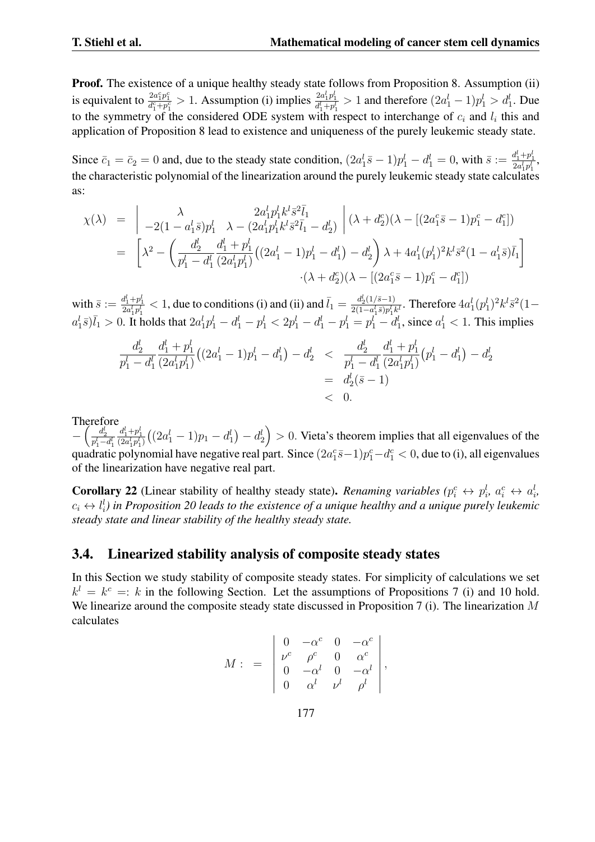Proof. The existence of a unique healthy steady state follows from Proposition 8. Assumption (ii) is equivalent to  $\frac{2a_1^c p_1^c}{d_1^c + p_1^c} > 1$ . Assumption (i) implies  $\frac{2a_1^l p_1^l}{d_1^l + p_1^l} > 1$  and therefore  $(2a_1^l - 1)p_1^l > d_1^l$ . Due to the symmetry of the considered ODE system with respect to interchange of  $c_i$  and  $l_i$  this and application of Proposition 8 lead to existence and uniqueness of the purely leukemic steady state.

Since  $\bar{c}_1 = \bar{c}_2 = 0$  and, due to the steady state condition,  $(2a_1^l \bar{s} - 1)p_1^l - d_1^l = 0$ , with  $\bar{s} := \frac{d_1^l + p_1^l}{2a_1^l p_1^l}$ , the characteristic polynomial of the linearization around the purely leukemic steady state calculates as:

$$
\chi(\lambda) = \begin{vmatrix}\n\lambda & 2a_1^lp_1^lk^l\bar{s}^2\bar{l}_1 \\
-2(1-a_1^l\bar{s})p_1^l & \lambda - (2a_1^lp_1^lk^l\bar{s}^2\bar{l}_1 - d_2^l)\n\end{vmatrix} (\lambda + d_2^c)(\lambda - [(2a_1^c\bar{s} - 1)p_1^c - d_1^c])
$$
  
\n
$$
= \left[\lambda^2 - \left(\frac{d_2^l}{p_1^l - d_1^l} \frac{d_1^l + p_1^l}{(2a_1^lp_1^l)}((2a_1^l - 1)p_1^l - d_1^l) - d_2^l\right)\lambda + 4a_1^l(p_1^l)^2k^l\bar{s}^2(1 - a_1^l\bar{s})\bar{l}_1\right]
$$
  
\n
$$
\cdot(\lambda + d_2^c)(\lambda - [(2a_1^c\bar{s} - 1)p_1^c - d_1^c])
$$

with  $\bar{s} := \frac{d_1^l + p_1^l}{2a_1^l p_1^l} < 1$ , due to conditions (i) and (ii) and  $\bar{l}_1 = \frac{d_2^l(1/\bar{s}-1)}{2(1-a_1^l \bar{s})p_1^l}$  $\frac{a_2^{\{1/3\}p_1^{\{k\}}}}{2(1-a_1^{\{1\}}p_1^{\{k\}}k^{\{1\}}}$ . Therefore  $4a_1^l(p_1^l)^2k^l\bar{s}^2(1-a_1^{\{1\}}k^{\{1\}}k^{\{1\}})$  $a_1^l \bar{s}$ ) $\bar{l}_1 > 0$ . It holds that  $2a_1^l p_1^l - d_1^l - p_1^l < 2p_1^l - d_1^l - p_1^l = p_1^l - d_1^l$ , since  $a_1^l < 1$ . This implies

$$
\frac{d_2^l}{p_1^l - d_1^l} \frac{d_1^l + p_1^l}{(2a_1^l p_1^l)} \left( (2a_1^l - 1)p_1^l - d_1^l \right) - d_2^l < \frac{d_2^l}{p_1^l - d_1^l} \frac{d_1^l + p_1^l}{(2a_1^l p_1^l)} \left( p_1^l - d_1^l \right) - d_2^l \\
= \frac{d_2^l (\bar{s} - 1)}{d_2^l (\bar{s} - 1)} \\
< 0.
$$

Therefore

*−*  $\left(\frac{d_2^l}{p_1^l - d_1^l}\right)$  $\frac{d_1^l+p_1^l}{(2a_1^lp_1^l)}((2a_1^l-1)p_1-d_1^l)-d_2^l\big)>0.$  Vieta's theorem implies that all eigenvalues of the quadratic polynomial have negative real part. Since  $(2a_1^c\bar{s}-1)p_1^c-d_1^c < 0$ , due to (i), all eigenvalues  $c\bar{c} = 1\,n^c - d^c$ of the linearization have negative real part.

**Corollary 22** (Linear stability of healthy steady state). Renaming variables  $(p_i^c \leftrightarrow p_i^l, a_i^c \leftrightarrow a_i^l)$  $c_i \leftrightarrow l_i^l$ ) in Proposition 20 leads to the existence of a unique healthy and a unique purely leukemic *steady state and linear stability of the healthy steady state.*

### 3.4. Linearized stability analysis of composite steady states

In this Section we study stability of composite steady states. For simplicity of calculations we set  $k^l = k^c =: k$  in the following Section. Let the assumptions of Propositions 7 (i) and 10 hold. We linearize around the composite steady state discussed in Proposition 7 (i). The linearization *M* calculates

$$
M: = \begin{vmatrix} 0 & -\alpha^c & 0 & -\alpha^c \\ \nu^c & \rho^c & 0 & \alpha^c \\ 0 & -\alpha^l & 0 & -\alpha^l \\ 0 & \alpha^l & \nu^l & \rho^l \end{vmatrix},
$$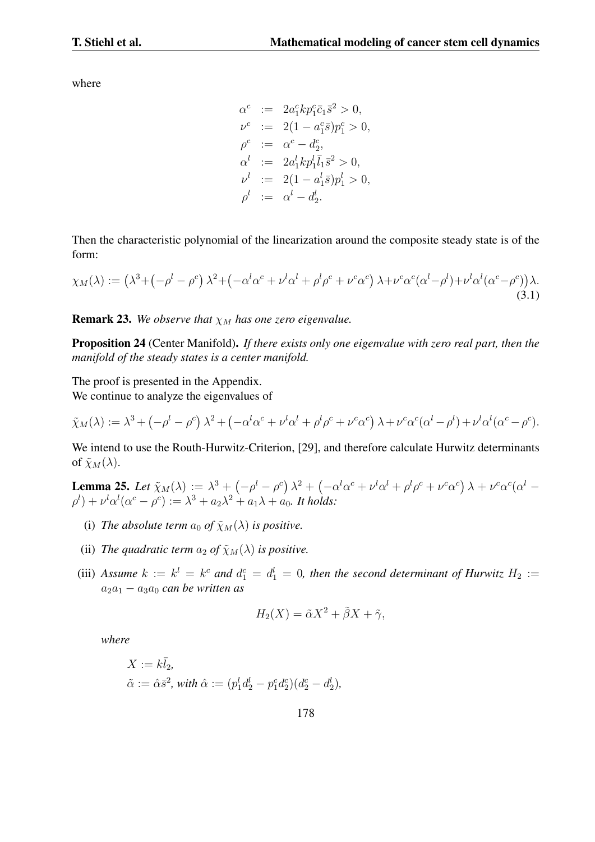where

$$
\alpha^{c} := 2a_{1}^{c}kp_{1}^{c}\bar{c}_{1}\bar{s}^{2} > 0,
$$
  
\n
$$
\nu^{c} := 2(1 - a_{1}^{c}\bar{s})p_{1}^{c} > 0,
$$
  
\n
$$
\rho^{c} := \alpha^{c} - d_{2}^{c},
$$
  
\n
$$
\alpha^{l} := 2a_{1}^{l}kp_{1}^{l}\bar{l}_{1}\bar{s}^{2} > 0,
$$
  
\n
$$
\nu^{l} := 2(1 - a_{1}^{l}\bar{s})p_{1}^{l} > 0,
$$
  
\n
$$
\rho^{l} := \alpha^{l} - d_{2}^{l}.
$$

Then the characteristic polynomial of the linearization around the composite steady state is of the form:

$$
\chi_M(\lambda) := \left(\lambda^3 + \left(-\rho^l - \rho^c\right)\lambda^2 + \left(-\alpha^l\alpha^c + \nu^l\alpha^l + \rho^l\rho^c + \nu^c\alpha^c\right)\lambda + \nu^c\alpha^c(\alpha^l - \rho^l) + \nu^l\alpha^l(\alpha^c - \rho^c)\right)\lambda. \tag{3.1}
$$

**Remark 23.** We observe that  $\chi_M$  has one zero eigenvalue.

Proposition 24 (Center Manifold). *If there exists only one eigenvalue with zero real part, then the manifold of the steady states is a center manifold.*

The proof is presented in the Appendix.

We continue to analyze the eigenvalues of

$$
\tilde{\chi}_M(\lambda) := \lambda^3 + \left(-\rho^l - \rho^c\right)\lambda^2 + \left(-\alpha^l\alpha^c + \nu^l\alpha^l + \rho^l\rho^c + \nu^c\alpha^c\right)\lambda + \nu^c\alpha^c(\alpha^l - \rho^l) + \nu^l\alpha^l(\alpha^c - \rho^c).
$$

We intend to use the Routh-Hurwitz-Criterion, [29], and therefore calculate Hurwitz determinants of  $\tilde{\chi}_M(\lambda)$ .

**Lemma 25.** Let  $\tilde{\chi}_M(\lambda) := \lambda^3 + \left(-\rho^l - \rho^c\right)\lambda^2 + \left(-\alpha^l\alpha^c + \nu^l\alpha^l + \rho^l\rho^c + \nu^c\alpha^c\right)\lambda + \nu^c\alpha^c(\alpha^l - \alpha^l\alpha^l)$  $\rho^{l}$ ) +  $\nu^{l} \alpha^{l} (\alpha^{c} - \rho^{c}) := \lambda^{3} + a_{2} \lambda^{2} + a_{1} \lambda + a_{0}$ . *It holds:* 

- (i) *The absolute term*  $a_0$  *of*  $\tilde{\chi}_M(\lambda)$  *is positive.*
- (ii) *The quadratic term*  $a_2$  *of*  $\tilde{\chi}_M(\lambda)$  *is positive.*
- (iii) Assume  $k := k^l = k^c$  and  $d_1^c = d_1^l = 0$ , then the second determinant of Hurwitz  $H_2 :=$  $a_2a_1 - a_3a_0$  *can be written as*

$$
H_2(X) = \tilde{\alpha}X^2 + \tilde{\beta}X + \tilde{\gamma},
$$

*where*

$$
\begin{split} X&:=k\bar{l}_2,\\ \tilde{\alpha}&:=\hat{\alpha}\bar{s}^2\text{, with }\hat{\alpha}:=(p_1^ld_2^l-p_1^cd_2^c)(d_2^c-d_2^l), \end{split}
$$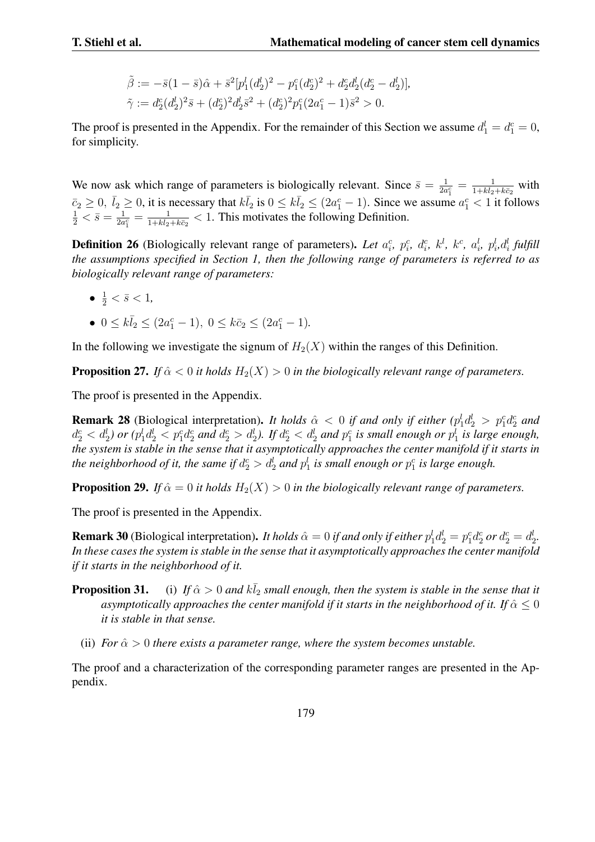$$
\tilde{\beta} := -\bar{s}(1-\bar{s})\hat{\alpha} + \bar{s}^2[p_1^l(d_2^l)^2 - p_1^c(d_2^c)^2 + d_2^c d_2^l(d_2^c - d_2^l)],
$$
  

$$
\tilde{\gamma} := d_2^c(d_2^l)^2 \bar{s} + (d_2^c)^2 d_2^l \bar{s}^2 + (d_2^c)^2 p_1^c (2a_1^c - 1)\bar{s}^2 > 0.
$$

The proof is presented in the Appendix. For the remainder of this Section we assume  $d_1^l = d_1^c = 0$ , for simplicity.

We now ask which range of parameters is biologically relevant. Since  $\bar{s} = \frac{1}{2a}$  $\frac{1}{2a_1^c}=\frac{1}{1+k\bar{l}_2+k\bar{c}_2}$  with  $\overline{c}_2 \ge 0$ ,  $\overline{l}_2 \ge 0$ , it is necessary that  $k\overline{l}_2$  is  $0 \le k\overline{l}_2 \le (2a_1^c - 1)$ . Since we assume  $a_1^c < 1$  it follows  $\frac{1}{2} < \overline{s} = \frac{1}{2a_1^c} = \frac{1}{1 + k\overline{l}_2 + k\overline{c}_2} < 1$ . This motivates the following Defini  $\frac{1}{2a_1^c} = \frac{1}{1 + k\bar{l}_2 + k\bar{c}_2} < 1$ . This motivates the following Definition.

**Definition 26** (Biologically relevant range of parameters). Let  $a_i^c$ ,  $p_i^c$ ,  $d_i^c$ ,  $k^l$ ,  $k^c$ ,  $a_i^l$ ,  $p_i^l$ ,  $d_i^l$  fulfill *the assumptions specified in Section 1, then the following range of parameters is referred to as biologically relevant range of parameters:*

- $\bullet$   $\frac{1}{2} < \bar{s} < 1$ *,*
- $0 \le k\bar{l}_2 \le (2a_1^c 1), \ 0 \le k\bar{c}_2 \le (2a_1^c 1).$

In the following we investigate the signum of  $H_2(X)$  within the ranges of this Definition.

**Proposition 27.** *If*  $\hat{\alpha} < 0$  *it holds*  $H_2(X) > 0$  *in the biologically relevant range of parameters.* 

The proof is presented in the Appendix.

**Remark 28** (Biological interpretation). *It holds*  $\hat{\alpha} < 0$  *if and only if either* ( $p_1^l d_2^l > p_1^c d_2^c$  *and*  $d_2^c < d_2^l$ ) or  $(p_1^l d_2^l < p_1^c d_2^c$  and  $d_2^c > d_2^l$ ). If  $d_2^c < d_2^l$  and  $p_1^c$  is small enough or  $p_1^l$  is large enough, *the system is stable in the sense that it asymptotically approaches the center manifold if it starts in the neighborhood of it, the same if*  $d_2^c > d_2^l$  *and*  $p_1^l$  *is small enough or*  $p_1^c$  *is large enough.* 

**Proposition 29.** *If*  $\hat{\alpha} = 0$  *it holds*  $H_2(X) > 0$  *in the biologically relevant range of parameters.* 

The proof is presented in the Appendix.

**Remark 30** (Biological interpretation). It holds  $\hat{\alpha} = 0$  if and only if either  $p_1^l d_2^l = p_1^c d_2^c$  or  $d_2^c = d_2^l$ . *In these cases the system is stable in the sense that it asymptotically approaches the center manifold if it starts in the neighborhood of it.*

- **Proposition 31.** (i) If  $\hat{\alpha} > 0$  and  $k\overline{l}_2$  small enough, then the system is stable in the sense that it *asymptotically approaches the center manifold if it starts in the neighborhood of it. If*  $\hat{\alpha} \leq 0$ *it is stable in that sense.*
	- (ii) *For*  $\hat{\alpha} > 0$  *there exists a parameter range, where the system becomes unstable.*

The proof and a characterization of the corresponding parameter ranges are presented in the Appendix.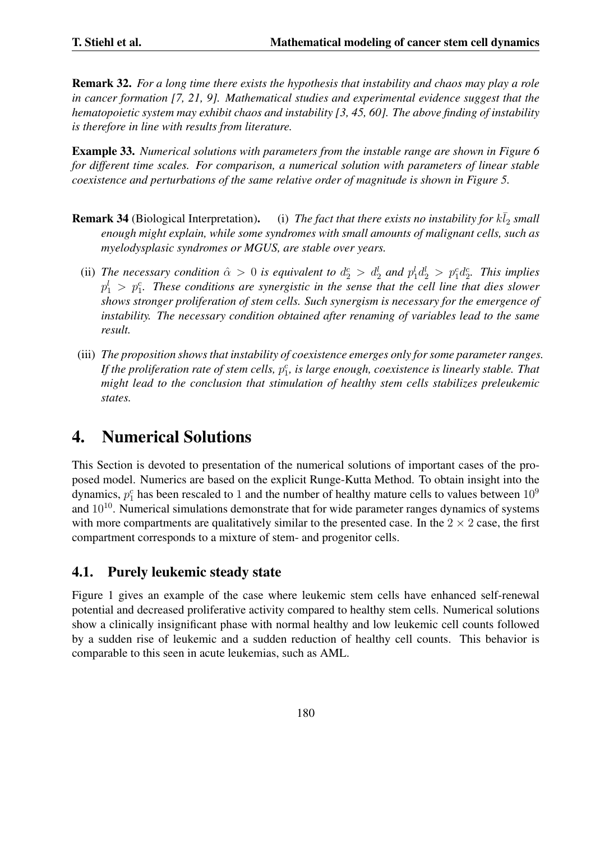Remark 32. *For a long time there exists the hypothesis that instability and chaos may play a role in cancer formation [7, 21, 9]. Mathematical studies and experimental evidence suggest that the hematopoietic system may exhibit chaos and instability [3, 45, 60]. The above finding of instability is therefore in line with results from literature.*

Example 33. *Numerical solutions with parameters from the instable range are shown in Figure 6 for different time scales. For comparison, a numerical solution with parameters of linear stable coexistence and perturbations of the same relative order of magnitude is shown in Figure 5.*

- **Remark 34** (Biological Interpretation). (i) *The fact that there exists no instability for*  $k\bar{l}_2$  *small enough might explain, while some syndromes with small amounts of malignant cells, such as myelodysplasic syndromes or MGUS, are stable over years.*
	- (ii) The necessary condition  $\hat{\alpha} > 0$  is equivalent to  $d_2^c > d_2^l$  and  $p_1^l d_2^l > p_1^c d_2^c$ . This implies  $p_1^l$   $>$   $p_1^c$ . These conditions are synergistic in the sense that the cell line that dies slower *shows stronger proliferation of stem cells. Such synergism is necessary for the emergence of instability. The necessary condition obtained after renaming of variables lead to the same result.*
- (iii) *The proposition shows that instability of coexistence emerges only for some parameter ranges.* If the proliferation rate of stem cells,  $p_1^c$ , is large enough, coexistence is linearly stable. That *might lead to the conclusion that stimulation of healthy stem cells stabilizes preleukemic states.*

# 4. Numerical Solutions

This Section is devoted to presentation of the numerical solutions of important cases of the proposed model. Numerics are based on the explicit Runge-Kutta Method. To obtain insight into the dynamics,  $p_1^c$  has been rescaled to 1 and the number of healthy mature cells to values between  $10^9$ and  $10^{10}$ . Numerical simulations demonstrate that for wide parameter ranges dynamics of systems with more compartments are qualitatively similar to the presented case. In the  $2 \times 2$  case, the first compartment corresponds to a mixture of stem- and progenitor cells.

## 4.1. Purely leukemic steady state

Figure 1 gives an example of the case where leukemic stem cells have enhanced self-renewal potential and decreased proliferative activity compared to healthy stem cells. Numerical solutions show a clinically insignificant phase with normal healthy and low leukemic cell counts followed by a sudden rise of leukemic and a sudden reduction of healthy cell counts. This behavior is comparable to this seen in acute leukemias, such as AML.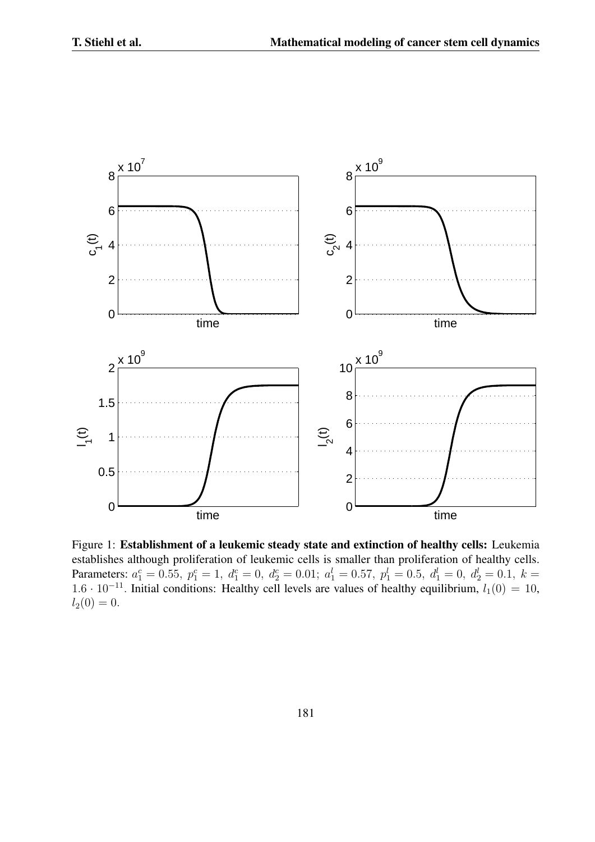

Figure 1: Establishment of a leukemic steady state and extinction of healthy cells: Leukemia establishes although proliferation of leukemic cells is smaller than proliferation of healthy cells. Parameters:  $a_1^c = 0.55$ ,  $p_1^c = 1$ ,  $d_1^c = 0$ ,  $d_2^c = 0.01$ ;  $a_1^l = 0.57$ ,  $p_1^l = 0.5$ ,  $d_1^l = 0$ ,  $d_2^l = 0.1$ ,  $k =$ 1.6 · 10<sup>−11</sup>. Initial conditions: Healthy cell levels are values of healthy equilibrium,  $l_1(0) = 10$ ,  $l_2(0) = 0.$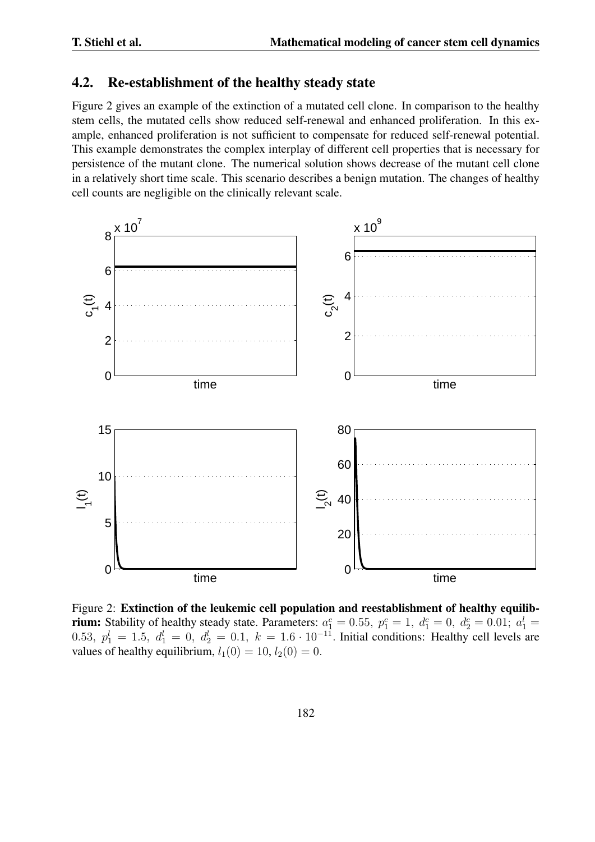### 4.2. Re-establishment of the healthy steady state

Figure 2 gives an example of the extinction of a mutated cell clone. In comparison to the healthy stem cells, the mutated cells show reduced self-renewal and enhanced proliferation. In this example, enhanced proliferation is not sufficient to compensate for reduced self-renewal potential. This example demonstrates the complex interplay of different cell properties that is necessary for persistence of the mutant clone. The numerical solution shows decrease of the mutant cell clone in a relatively short time scale. This scenario describes a benign mutation. The changes of healthy cell counts are negligible on the clinically relevant scale.



Figure 2: Extinction of the leukemic cell population and reestablishment of healthy equilibrium: Stability of healthy steady state. Parameters:  $a_1^c = 0.55$ ,  $p_1^c = 1$ ,  $d_1^c = 0$ ,  $d_2^c = 0.01$ ;  $a_1^l =$ 0.53,  $p_1^l = 1.5$ ,  $d_1^l = 0$ ,  $d_2^l = 0.1$ ,  $k = 1.6 \cdot 10^{-11}$ . Initial conditions: Healthy cell levels are values of healthy equilibrium,  $l_1(0) = 10$ ,  $l_2(0) = 0$ .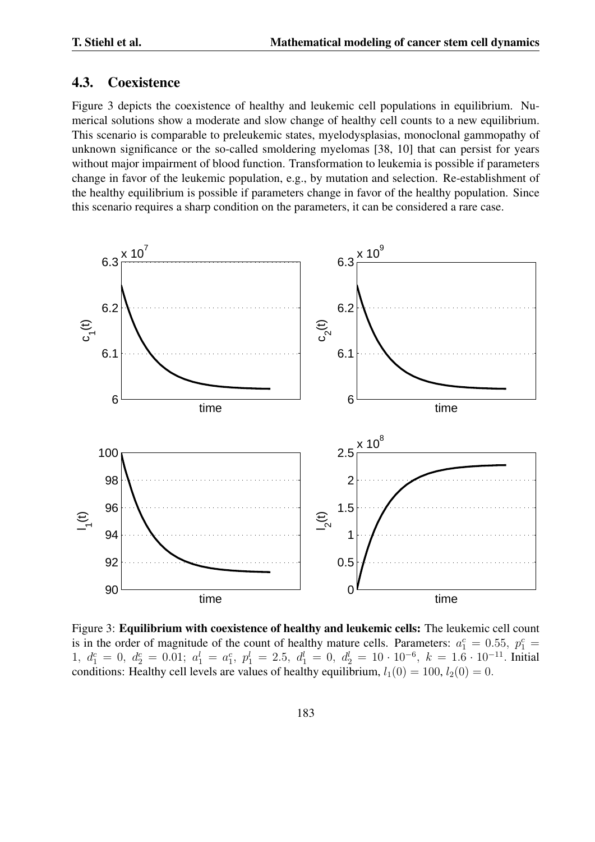#### 4.3. Coexistence

Figure 3 depicts the coexistence of healthy and leukemic cell populations in equilibrium. Numerical solutions show a moderate and slow change of healthy cell counts to a new equilibrium. This scenario is comparable to preleukemic states, myelodysplasias, monoclonal gammopathy of unknown significance or the so-called smoldering myelomas [38, 10] that can persist for years without major impairment of blood function. Transformation to leukemia is possible if parameters change in favor of the leukemic population, e.g., by mutation and selection. Re-establishment of the healthy equilibrium is possible if parameters change in favor of the healthy population. Since this scenario requires a sharp condition on the parameters, it can be considered a rare case.



Figure 3: Equilibrium with coexistence of healthy and leukemic cells: The leukemic cell count is in the order of magnitude of the count of healthy mature cells. Parameters:  $a_1^c = 0.55$ ,  $p_1^c = 1$  $1, d_1^c = 0, d_2^c = 0.01; a_1^l = a_1^c, p_1^l = 2.5, d_1^l = 0, d_2^l = 10 \cdot 10^{-6}, k = 1.6 \cdot 10^{-11}$ . Initial conditions: Healthy cell levels are values of healthy equilibrium,  $l_1(0) = 100$ ,  $l_2(0) = 0$ .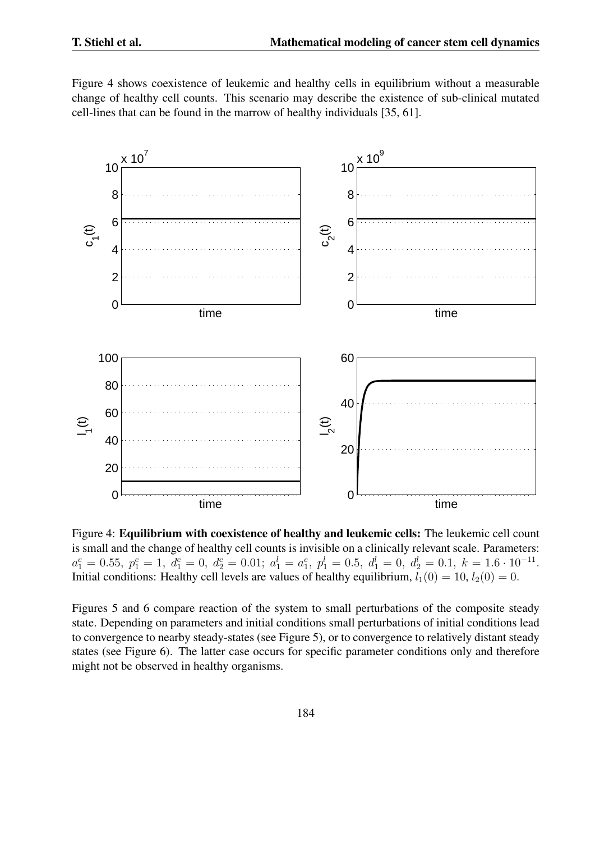Figure 4 shows coexistence of leukemic and healthy cells in equilibrium without a measurable change of healthy cell counts. This scenario may describe the existence of sub-clinical mutated cell-lines that can be found in the marrow of healthy individuals [35, 61].



Figure 4: Equilibrium with coexistence of healthy and leukemic cells: The leukemic cell count is small and the change of healthy cell counts is invisible on a clinically relevant scale. Parameters:  $a_1^c = 0.55, p_1^c = 1, d_1^c = 0, d_2^c = 0.01; a_1^l = a_1^c, p_1^l = 0.5, d_1^l = 0, d_2^l = 0.1, k = 1.6 \cdot 10^{-11}.$ Initial conditions: Healthy cell levels are values of healthy equilibrium,  $l_1(0) = 10$ ,  $l_2(0) = 0$ .

Figures 5 and 6 compare reaction of the system to small perturbations of the composite steady state. Depending on parameters and initial conditions small perturbations of initial conditions lead to convergence to nearby steady-states (see Figure 5), or to convergence to relatively distant steady states (see Figure 6). The latter case occurs for specific parameter conditions only and therefore might not be observed in healthy organisms.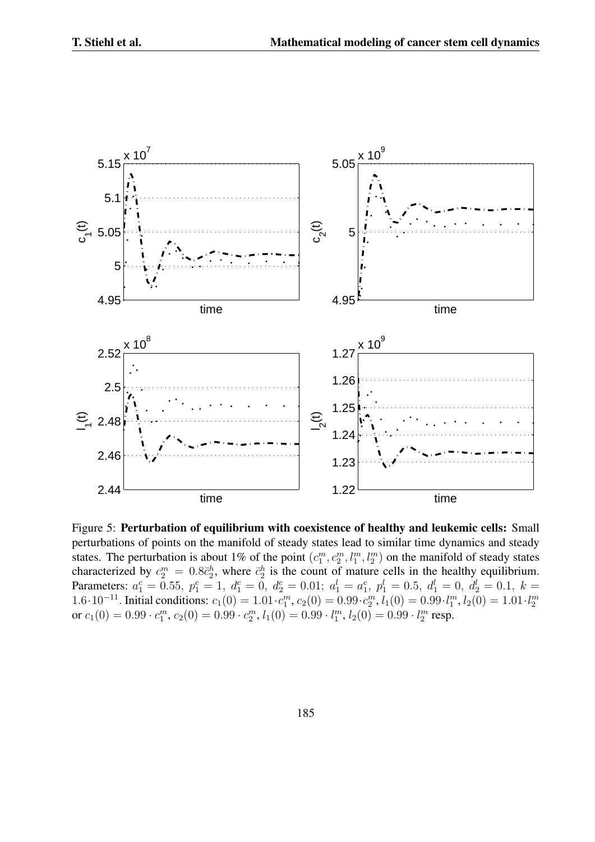

Figure 5: Perturbation of equilibrium with coexistence of healthy and leukemic cells: Small perturbations of points on the manifold of steady states lead to similar time dynamics and steady states. The perturbation is about 1% of the point  $(c_1^m, c_2^m, l_1^m, l_2^m)$  on the manifold of steady states characterized by  $c_2^m = 0.8\bar{c}_2^h$ , where  $\bar{c}_2^h$  is the count of mature cells in the healthy equilibrium. Parameters:  $a_1^c = 0.55$ ,  $p_1^c = 1$ ,  $d_1^c = 0$ ,  $d_2^c = 0.01$ ;  $a_1^l = a_1^c$ ,  $p_1^l = 0.5$ ,  $d_1^l = 0$ ,  $d_2^l = 0.1$ ,  $k =$ 1.6.10<sup>-11</sup>. Initial conditions:  $c_1(0) = 1.01 \cdot c_1^m$ ,  $c_2(0) = 0.99 \cdot c_2^m$ ,  $l_1(0) = 0.99 \cdot l_1^m$ ,  $l_2(0) = 1.01 \cdot l_2^m$ or  $c_1(0) = 0.99 \cdot c_1^m$ ,  $c_2(0) = 0.99 \cdot c_2^m$ ,  $l_1(0) = 0.99 \cdot l_1^m$ ,  $l_2(0) = 0.99 \cdot l_2^m$  resp.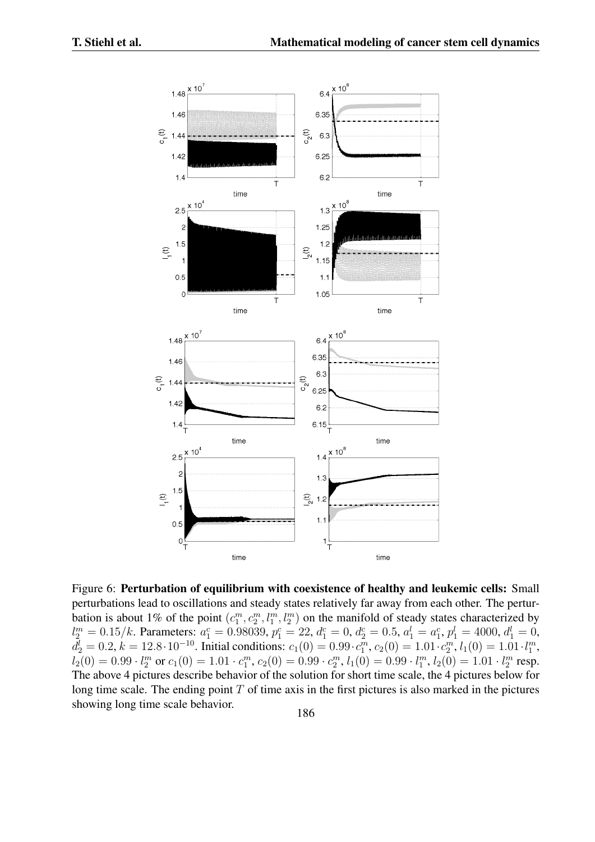

Figure 6: Perturbation of equilibrium with coexistence of healthy and leukemic cells: Small perturbations lead to oscillations and steady states relatively far away from each other. The perturbation is about 1% of the point  $(c_1^m, c_2^m, l_1^m, l_2^m)$  on the manifold of steady states characterized by  $l_2^m = 0.15/k$ . Parameters:  $a_1^c = 0.98039$ ,  $p_1^c = 22$ ,  $d_1^c = 0$ ,  $d_2^c = 0.5$ ,  $a_1^l = a_1^c$ ,  $p_1^l = 4000$ ,  $d_1^l = 0$ ,  $d_2^l = 0.2, k = 12.8 \cdot 10^{-10}$ . Initial conditions:  $c_1(0) = 0.99 \cdot c_1^m$ ,  $c_2(0) = 1.01 \cdot c_2^m$ ,  $l_1(0) = 1.01 \cdot l_1^m$ ,  $l_2(0) = 0.99 \cdot l_2^m$  or  $c_1(0) = 1.01 \cdot c_1^m$ ,  $c_2(0) = 0.99 \cdot c_2^m$ ,  $l_1(0) = 0.99 \cdot l_1^m$ ,  $l_2(0) = 1.01 \cdot l_2^m$  resp. The above 4 pictures describe behavior of the solution for short time scale, the 4 pictures below for long time scale. The ending point *T* of time axis in the first pictures is also marked in the pictures showing long time scale behavior.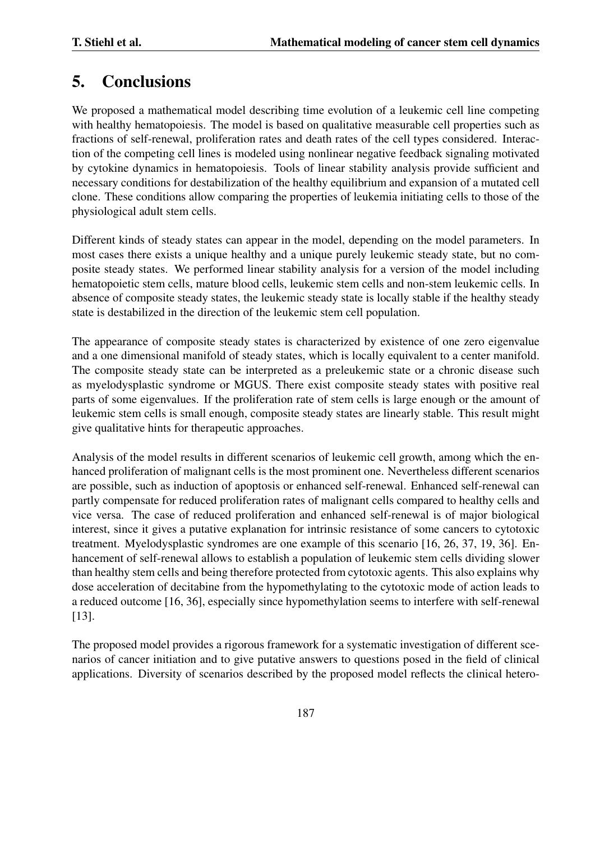# 5. Conclusions

We proposed a mathematical model describing time evolution of a leukemic cell line competing with healthy hematopoiesis. The model is based on qualitative measurable cell properties such as fractions of self-renewal, proliferation rates and death rates of the cell types considered. Interaction of the competing cell lines is modeled using nonlinear negative feedback signaling motivated by cytokine dynamics in hematopoiesis. Tools of linear stability analysis provide sufficient and necessary conditions for destabilization of the healthy equilibrium and expansion of a mutated cell clone. These conditions allow comparing the properties of leukemia initiating cells to those of the physiological adult stem cells.

Different kinds of steady states can appear in the model, depending on the model parameters. In most cases there exists a unique healthy and a unique purely leukemic steady state, but no composite steady states. We performed linear stability analysis for a version of the model including hematopoietic stem cells, mature blood cells, leukemic stem cells and non-stem leukemic cells. In absence of composite steady states, the leukemic steady state is locally stable if the healthy steady state is destabilized in the direction of the leukemic stem cell population.

The appearance of composite steady states is characterized by existence of one zero eigenvalue and a one dimensional manifold of steady states, which is locally equivalent to a center manifold. The composite steady state can be interpreted as a preleukemic state or a chronic disease such as myelodysplastic syndrome or MGUS. There exist composite steady states with positive real parts of some eigenvalues. If the proliferation rate of stem cells is large enough or the amount of leukemic stem cells is small enough, composite steady states are linearly stable. This result might give qualitative hints for therapeutic approaches.

Analysis of the model results in different scenarios of leukemic cell growth, among which the enhanced proliferation of malignant cells is the most prominent one. Nevertheless different scenarios are possible, such as induction of apoptosis or enhanced self-renewal. Enhanced self-renewal can partly compensate for reduced proliferation rates of malignant cells compared to healthy cells and vice versa. The case of reduced proliferation and enhanced self-renewal is of major biological interest, since it gives a putative explanation for intrinsic resistance of some cancers to cytotoxic treatment. Myelodysplastic syndromes are one example of this scenario [16, 26, 37, 19, 36]. Enhancement of self-renewal allows to establish a population of leukemic stem cells dividing slower than healthy stem cells and being therefore protected from cytotoxic agents. This also explains why dose acceleration of decitabine from the hypomethylating to the cytotoxic mode of action leads to a reduced outcome [16, 36], especially since hypomethylation seems to interfere with self-renewal [13].

The proposed model provides a rigorous framework for a systematic investigation of different scenarios of cancer initiation and to give putative answers to questions posed in the field of clinical applications. Diversity of scenarios described by the proposed model reflects the clinical hetero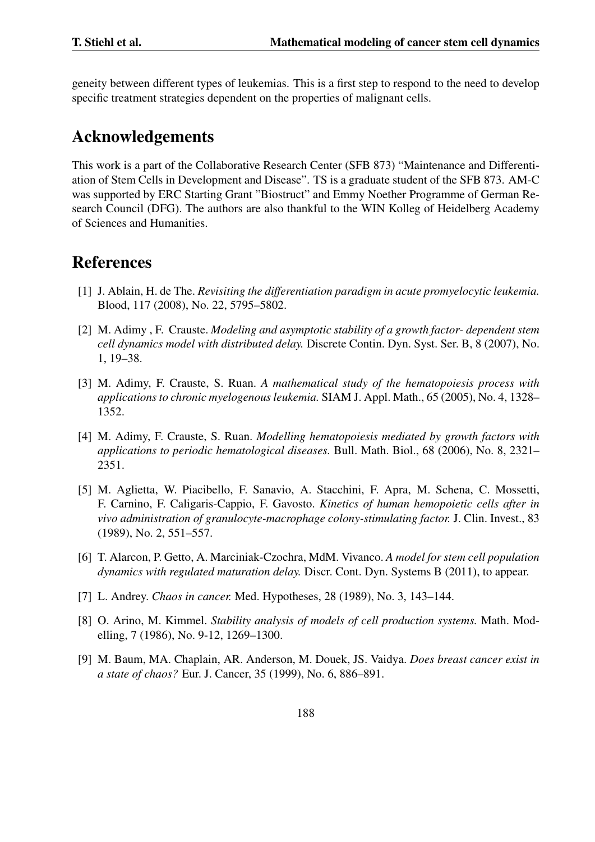geneity between different types of leukemias. This is a first step to respond to the need to develop specific treatment strategies dependent on the properties of malignant cells.

## Acknowledgements

This work is a part of the Collaborative Research Center (SFB 873) "Maintenance and Differentiation of Stem Cells in Development and Disease". TS is a graduate student of the SFB 873. AM-C was supported by ERC Starting Grant "Biostruct" and Emmy Noether Programme of German Research Council (DFG). The authors are also thankful to the WIN Kolleg of Heidelberg Academy of Sciences and Humanities.

## References

- [1] J. Ablain, H. de The. *Revisiting the differentiation paradigm in acute promyelocytic leukemia.* Blood, 117 (2008), No. 22, 5795–5802.
- [2] M. Adimy , F. Crauste. *Modeling and asymptotic stability of a growth factor- dependent stem cell dynamics model with distributed delay.* Discrete Contin. Dyn. Syst. Ser. B, 8 (2007), No. 1, 19–38.
- [3] M. Adimy, F. Crauste, S. Ruan. *A mathematical study of the hematopoiesis process with applications to chronic myelogenous leukemia.* SIAM J. Appl. Math., 65 (2005), No. 4, 1328– 1352.
- [4] M. Adimy, F. Crauste, S. Ruan. *Modelling hematopoiesis mediated by growth factors with applications to periodic hematological diseases.* Bull. Math. Biol., 68 (2006), No. 8, 2321– 2351.
- [5] M. Aglietta, W. Piacibello, F. Sanavio, A. Stacchini, F. Apra, M. Schena, C. Mossetti, F. Carnino, F. Caligaris-Cappio, F. Gavosto. *Kinetics of human hemopoietic cells after in vivo administration of granulocyte-macrophage colony-stimulating factor.* J. Clin. Invest., 83 (1989), No. 2, 551–557.
- [6] T. Alarcon, P. Getto, A. Marciniak-Czochra, MdM. Vivanco. *A model for stem cell population dynamics with regulated maturation delay.* Discr. Cont. Dyn. Systems B (2011), to appear.
- [7] L. Andrey. *Chaos in cancer.* Med. Hypotheses, 28 (1989), No. 3, 143–144.
- [8] O. Arino, M. Kimmel. *Stability analysis of models of cell production systems.* Math. Modelling, 7 (1986), No. 9-12, 1269–1300.
- [9] M. Baum, MA. Chaplain, AR. Anderson, M. Douek, JS. Vaidya. *Does breast cancer exist in a state of chaos?* Eur. J. Cancer, 35 (1999), No. 6, 886–891.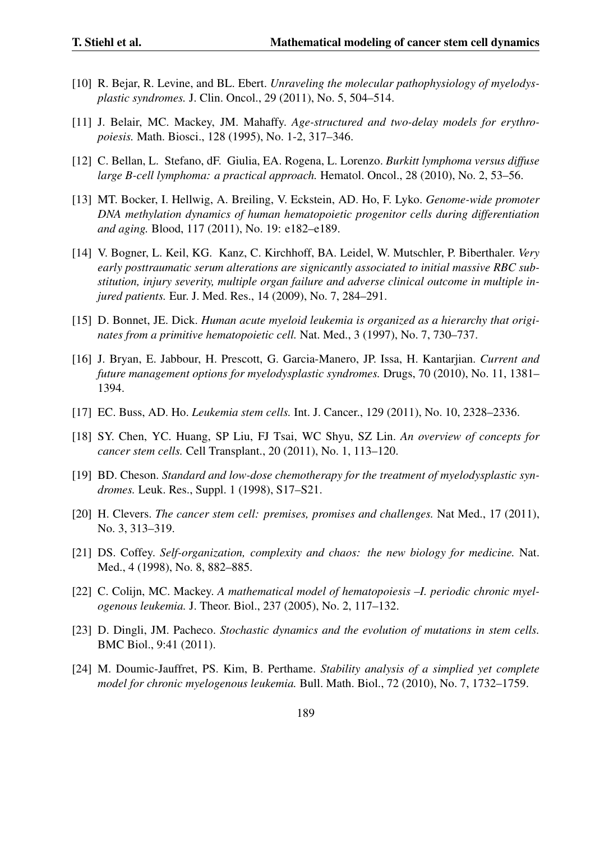- [10] R. Bejar, R. Levine, and BL. Ebert. *Unraveling the molecular pathophysiology of myelodysplastic syndromes.* J. Clin. Oncol., 29 (2011), No. 5, 504–514.
- [11] J. Belair, MC. Mackey, JM. Mahaffy. *Age-structured and two-delay models for erythropoiesis.* Math. Biosci., 128 (1995), No. 1-2, 317–346.
- [12] C. Bellan, L. Stefano, dF. Giulia, EA. Rogena, L. Lorenzo. *Burkitt lymphoma versus diffuse large B-cell lymphoma: a practical approach.* Hematol. Oncol., 28 (2010), No. 2, 53–56.
- [13] MT. Bocker, I. Hellwig, A. Breiling, V. Eckstein, AD. Ho, F. Lyko. *Genome-wide promoter DNA methylation dynamics of human hematopoietic progenitor cells during differentiation and aging.* Blood, 117 (2011), No. 19: e182–e189.
- [14] V. Bogner, L. Keil, KG. Kanz, C. Kirchhoff, BA. Leidel, W. Mutschler, P. Biberthaler. *Very early posttraumatic serum alterations are signicantly associated to initial massive RBC substitution, injury severity, multiple organ failure and adverse clinical outcome in multiple injured patients.* Eur. J. Med. Res., 14 (2009), No. 7, 284–291.
- [15] D. Bonnet, JE. Dick. *Human acute myeloid leukemia is organized as a hierarchy that originates from a primitive hematopoietic cell.* Nat. Med., 3 (1997), No. 7, 730–737.
- [16] J. Bryan, E. Jabbour, H. Prescott, G. Garcia-Manero, JP. Issa, H. Kantarjian. *Current and future management options for myelodysplastic syndromes.* Drugs, 70 (2010), No. 11, 1381– 1394.
- [17] EC. Buss, AD. Ho. *Leukemia stem cells.* Int. J. Cancer., 129 (2011), No. 10, 2328–2336.
- [18] SY. Chen, YC. Huang, SP Liu, FJ Tsai, WC Shyu, SZ Lin. *An overview of concepts for cancer stem cells.* Cell Transplant., 20 (2011), No. 1, 113–120.
- [19] BD. Cheson. *Standard and low-dose chemotherapy for the treatment of myelodysplastic syndromes.* Leuk. Res., Suppl. 1 (1998), S17–S21.
- [20] H. Clevers. *The cancer stem cell: premises, promises and challenges.* Nat Med., 17 (2011), No. 3, 313–319.
- [21] DS. Coffey. *Self-organization, complexity and chaos: the new biology for medicine.* Nat. Med., 4 (1998), No. 8, 882–885.
- [22] C. Colijn, MC. Mackey. *A mathematical model of hematopoiesis –I. periodic chronic myelogenous leukemia.* J. Theor. Biol., 237 (2005), No. 2, 117–132.
- [23] D. Dingli, JM. Pacheco. *Stochastic dynamics and the evolution of mutations in stem cells.* BMC Biol., 9:41 (2011).
- [24] M. Doumic-Jauffret, PS. Kim, B. Perthame. *Stability analysis of a simplied yet complete model for chronic myelogenous leukemia.* Bull. Math. Biol., 72 (2010), No. 7, 1732–1759.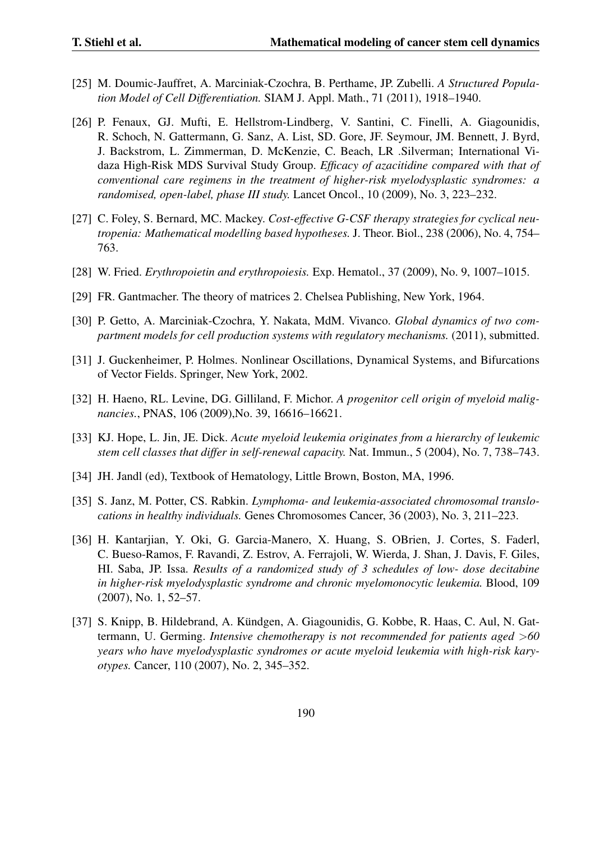- [25] M. Doumic-Jauffret, A. Marciniak-Czochra, B. Perthame, JP. Zubelli. *A Structured Population Model of Cell Differentiation.* SIAM J. Appl. Math., 71 (2011), 1918–1940.
- [26] P. Fenaux, GJ. Mufti, E. Hellstrom-Lindberg, V. Santini, C. Finelli, A. Giagounidis, R. Schoch, N. Gattermann, G. Sanz, A. List, SD. Gore, JF. Seymour, JM. Bennett, J. Byrd, J. Backstrom, L. Zimmerman, D. McKenzie, C. Beach, LR .Silverman; International Vidaza High-Risk MDS Survival Study Group. *Efficacy of azacitidine compared with that of conventional care regimens in the treatment of higher-risk myelodysplastic syndromes: a randomised, open-label, phase III study.* Lancet Oncol., 10 (2009), No. 3, 223–232.
- [27] C. Foley, S. Bernard, MC. Mackey. *Cost-effective G-CSF therapy strategies for cyclical neutropenia: Mathematical modelling based hypotheses.* J. Theor. Biol., 238 (2006), No. 4, 754– 763.
- [28] W. Fried. *Erythropoietin and erythropoiesis.* Exp. Hematol., 37 (2009), No. 9, 1007–1015.
- [29] FR. Gantmacher. The theory of matrices 2. Chelsea Publishing, New York, 1964.
- [30] P. Getto, A. Marciniak-Czochra, Y. Nakata, MdM. Vivanco. *Global dynamics of two compartment models for cell production systems with regulatory mechanisms.* (2011), submitted.
- [31] J. Guckenheimer, P. Holmes. Nonlinear Oscillations, Dynamical Systems, and Bifurcations of Vector Fields. Springer, New York, 2002.
- [32] H. Haeno, RL. Levine, DG. Gilliland, F. Michor. *A progenitor cell origin of myeloid malignancies.*, PNAS, 106 (2009),No. 39, 16616–16621.
- [33] KJ. Hope, L. Jin, JE. Dick. *Acute myeloid leukemia originates from a hierarchy of leukemic stem cell classes that differ in self-renewal capacity.* Nat. Immun., 5 (2004), No. 7, 738–743.
- [34] JH. Jandl (ed), Textbook of Hematology, Little Brown, Boston, MA, 1996.
- [35] S. Janz, M. Potter, CS. Rabkin. *Lymphoma- and leukemia-associated chromosomal translocations in healthy individuals.* Genes Chromosomes Cancer, 36 (2003), No. 3, 211–223.
- [36] H. Kantarjian, Y. Oki, G. Garcia-Manero, X. Huang, S. OBrien, J. Cortes, S. Faderl, C. Bueso-Ramos, F. Ravandi, Z. Estrov, A. Ferrajoli, W. Wierda, J. Shan, J. Davis, F. Giles, HI. Saba, JP. Issa. *Results of a randomized study of 3 schedules of low- dose decitabine in higher-risk myelodysplastic syndrome and chronic myelomonocytic leukemia.* Blood, 109 (2007), No. 1, 52–57.
- [37] S. Knipp, B. Hildebrand, A. Kundgen, A. Giagounidis, G. Kobbe, R. Haas, C. Aul, N. Gat- ¨ termann, U. Germing. *Intensive chemotherapy is not recommended for patients aged >60 years who have myelodysplastic syndromes or acute myeloid leukemia with high-risk karyotypes.* Cancer, 110 (2007), No. 2, 345–352.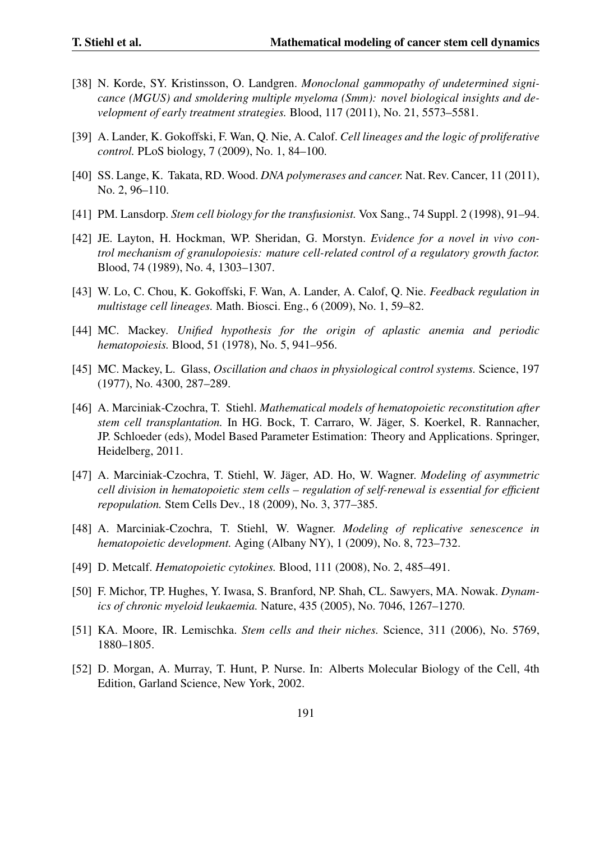- [38] N. Korde, SY. Kristinsson, O. Landgren. *Monoclonal gammopathy of undetermined signicance (MGUS) and smoldering multiple myeloma (Smm): novel biological insights and development of early treatment strategies.* Blood, 117 (2011), No. 21, 5573–5581.
- [39] A. Lander, K. Gokoffski, F. Wan, Q. Nie, A. Calof. *Cell lineages and the logic of proliferative control.* PLoS biology, 7 (2009), No. 1, 84–100.
- [40] SS. Lange, K. Takata, RD. Wood. *DNA polymerases and cancer.* Nat. Rev. Cancer, 11 (2011), No. 2, 96–110.
- [41] PM. Lansdorp. *Stem cell biology for the transfusionist.* Vox Sang., 74 Suppl. 2 (1998), 91–94.
- [42] JE. Layton, H. Hockman, WP. Sheridan, G. Morstyn. *Evidence for a novel in vivo control mechanism of granulopoiesis: mature cell-related control of a regulatory growth factor.* Blood, 74 (1989), No. 4, 1303–1307.
- [43] W. Lo, C. Chou, K. Gokoffski, F. Wan, A. Lander, A. Calof, Q. Nie. *Feedback regulation in multistage cell lineages.* Math. Biosci. Eng., 6 (2009), No. 1, 59–82.
- [44] MC. Mackey. *Unified hypothesis for the origin of aplastic anemia and periodic hematopoiesis.* Blood, 51 (1978), No. 5, 941–956.
- [45] MC. Mackey, L. Glass, *Oscillation and chaos in physiological control systems.* Science, 197 (1977), No. 4300, 287–289.
- [46] A. Marciniak-Czochra, T. Stiehl. *Mathematical models of hematopoietic reconstitution after stem cell transplantation.* In HG. Bock, T. Carraro, W. Jäger, S. Koerkel, R. Rannacher, JP. Schloeder (eds), Model Based Parameter Estimation: Theory and Applications. Springer, Heidelberg, 2011.
- [47] A. Marciniak-Czochra, T. Stiehl, W. Jäger, AD. Ho, W. Wagner. *Modeling of asymmetric cell division in hematopoietic stem cells – regulation of self-renewal is essential for efficient repopulation.* Stem Cells Dev., 18 (2009), No. 3, 377–385.
- [48] A. Marciniak-Czochra, T. Stiehl, W. Wagner. *Modeling of replicative senescence in hematopoietic development.* Aging (Albany NY), 1 (2009), No. 8, 723–732.
- [49] D. Metcalf. *Hematopoietic cytokines.* Blood, 111 (2008), No. 2, 485–491.
- [50] F. Michor, TP. Hughes, Y. Iwasa, S. Branford, NP. Shah, CL. Sawyers, MA. Nowak. *Dynamics of chronic myeloid leukaemia.* Nature, 435 (2005), No. 7046, 1267–1270.
- [51] KA. Moore, IR. Lemischka. *Stem cells and their niches.* Science, 311 (2006), No. 5769, 1880–1805.
- [52] D. Morgan, A. Murray, T. Hunt, P. Nurse. In: Alberts Molecular Biology of the Cell, 4th Edition, Garland Science, New York, 2002.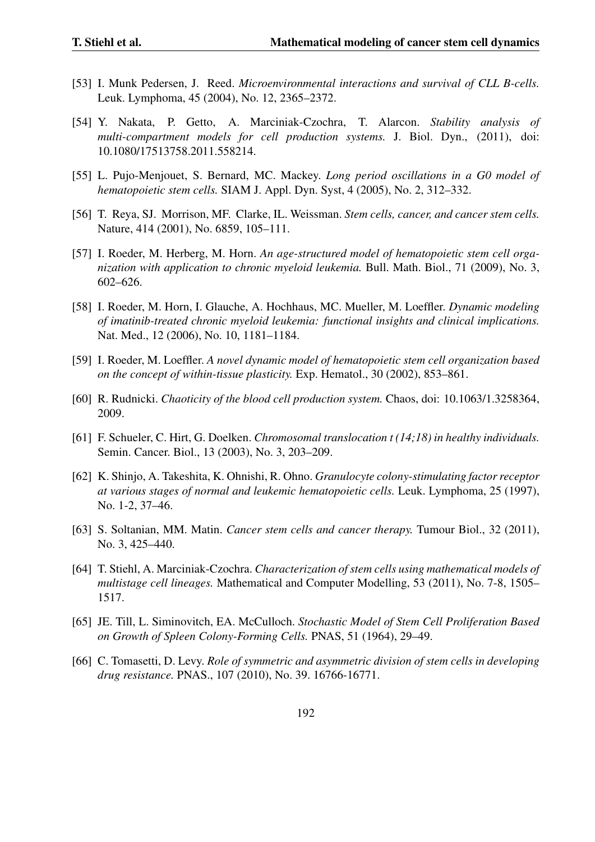- [53] I. Munk Pedersen, J. Reed. *Microenvironmental interactions and survival of CLL B-cells.* Leuk. Lymphoma, 45 (2004), No. 12, 2365–2372.
- [54] Y. Nakata, P. Getto, A. Marciniak-Czochra, T. Alarcon. *Stability analysis of multi-compartment models for cell production systems.* J. Biol. Dyn., (2011), doi: 10.1080/17513758.2011.558214.
- [55] L. Pujo-Menjouet, S. Bernard, MC. Mackey. *Long period oscillations in a G0 model of hematopoietic stem cells.* SIAM J. Appl. Dyn. Syst, 4 (2005), No. 2, 312–332.
- [56] T. Reya, SJ. Morrison, MF. Clarke, IL. Weissman. *Stem cells, cancer, and cancer stem cells.* Nature, 414 (2001), No. 6859, 105–111.
- [57] I. Roeder, M. Herberg, M. Horn. *An age-structured model of hematopoietic stem cell organization with application to chronic myeloid leukemia.* Bull. Math. Biol., 71 (2009), No. 3, 602–626.
- [58] I. Roeder, M. Horn, I. Glauche, A. Hochhaus, MC. Mueller, M. Loeffler. *Dynamic modeling of imatinib-treated chronic myeloid leukemia: functional insights and clinical implications.* Nat. Med., 12 (2006), No. 10, 1181–1184.
- [59] I. Roeder, M. Loeffler. *A novel dynamic model of hematopoietic stem cell organization based on the concept of within-tissue plasticity.* Exp. Hematol., 30 (2002), 853–861.
- [60] R. Rudnicki. *Chaoticity of the blood cell production system.* Chaos, doi: 10.1063/1.3258364, 2009.
- [61] F. Schueler, C. Hirt, G. Doelken. *Chromosomal translocation t (14;18) in healthy individuals.* Semin. Cancer. Biol., 13 (2003), No. 3, 203–209.
- [62] K. Shinjo, A. Takeshita, K. Ohnishi, R. Ohno. *Granulocyte colony-stimulating factor receptor at various stages of normal and leukemic hematopoietic cells.* Leuk. Lymphoma, 25 (1997), No. 1-2, 37–46.
- [63] S. Soltanian, MM. Matin. *Cancer stem cells and cancer therapy.* Tumour Biol., 32 (2011), No. 3, 425–440.
- [64] T. Stiehl, A. Marciniak-Czochra. *Characterization of stem cells using mathematical models of multistage cell lineages.* Mathematical and Computer Modelling, 53 (2011), No. 7-8, 1505– 1517.
- [65] JE. Till, L. Siminovitch, EA. McCulloch. *Stochastic Model of Stem Cell Proliferation Based on Growth of Spleen Colony-Forming Cells.* PNAS, 51 (1964), 29–49.
- [66] C. Tomasetti, D. Levy. *Role of symmetric and asymmetric division of stem cells in developing drug resistance.* PNAS., 107 (2010), No. 39. 16766-16771.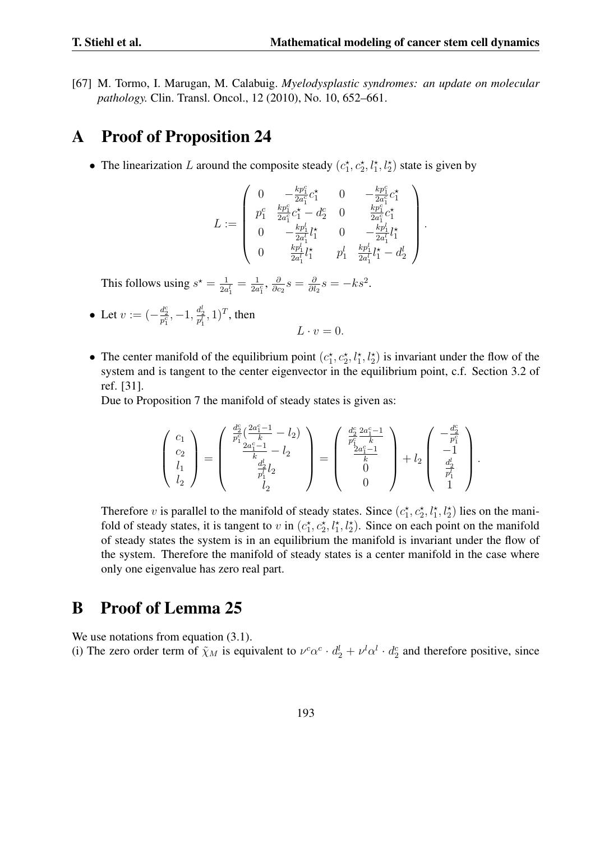*.*

[67] M. Tormo, I. Marugan, M. Calabuig. *Myelodysplastic syndromes: an update on molecular pathology.* Clin. Transl. Oncol., 12 (2010), No. 10, 652–661.

## A Proof of Proposition 24

• The linearization *L* around the composite steady  $(c_1^*, c_2^*, l_1^*, l_2^*)$  state is given by

$$
L:=\left(\begin{array}{cccc} 0 & -\frac{kp_1^c}{2a_1^c}c_1^\star & 0 & -\frac{kp_1^c}{2a_1^c}c_1^\star \\ p_1^c & \frac{kp_1^c}{2a_1^c}c_1^\star-d_2^c & 0 & \frac{kp_1^c}{2a_1^c}c_1^\star \\ 0 & -\frac{kp_1^l}{2a_1^l}l_1^\star & 0 & -\frac{kp_1^l}{2a_1^l}l_1^\star \\ 0 & \frac{kp_1^l}{2a_1^l}l_1^\star & p_1^l & \frac{kp_1^l}{2a_1^l}l_1^\star-d_2^l \end{array}\right)
$$

This follows using  $s^* = \frac{1}{2a}$  $\frac{1}{2a_1^l} = \frac{1}{2a}$  $\frac{1}{2a_1^c}, \frac{\partial}{\partial c}$  $\frac{\partial}{\partial c_2} s = \frac{\delta}{\partial l}$  $\frac{\partial}{\partial l_2} s = -k s^2$ .

- Let  $v := (-\frac{d_2^c}{p_1^c}, -1, \frac{d_2^l}{p_1^l}, 1)^T$ , then
- The center manifold of the equilibrium point  $(c_1^*, c_2^*, l_1^*, l_2^*)$  is invariant under the flow of the system and is tangent to the center eigenvector in the equilibrium point, c.f. Section 3.2 of ref. [31].

 $L \cdot v = 0$ .

Due to Proposition 7 the manifold of steady states is given as:

$$
\left(\begin{array}{c}c_1\\c_2\\l_1\\l_2\end{array}\right)=\left(\begin{array}{c}\frac{d_2^c}{p_1^c}(\frac{2a_1^c-1}{k}-l_2)\\\frac{2a_1^c-1}{k}-l_2\\\frac{d_2^l}{p_1^l}l_2\\\frac{1}{l_2}\end{array}\right)=\left(\begin{array}{c}\frac{d_2^c}{p_1^c}\frac{2a_1^c-1}{k}\\ \frac{2a_1^c-1}{k}\\0\end{array}\right)+l_2\left(\begin{array}{c}-\frac{d_2^c}{p_1^c}\\-1\\\frac{d_2^l}{p_1^l}\\\frac{1}{l}\end{array}\right).
$$

Therefore *v* is parallel to the manifold of steady states. Since  $(c_1^*, c_2^*, l_1^*, l_2^*)$  lies on the manifold of steady states, it is tangent to *v* in  $(c_1^*, c_2^*, l_1^*, l_2^*)$ . Since on each point on the manifold of steady states the system is in an equilibrium the manifold is invariant under the flow of the system. Therefore the manifold of steady states is a center manifold in the case where only one eigenvalue has zero real part.

## B Proof of Lemma 25

We use notations from equation  $(3.1)$ . (i) The zero order term of  $\tilde{\chi}_M$  is equivalent to  $\nu^c \alpha^c \cdot d_2^l + \nu^l \alpha^l \cdot d_2^c$  and therefore positive, since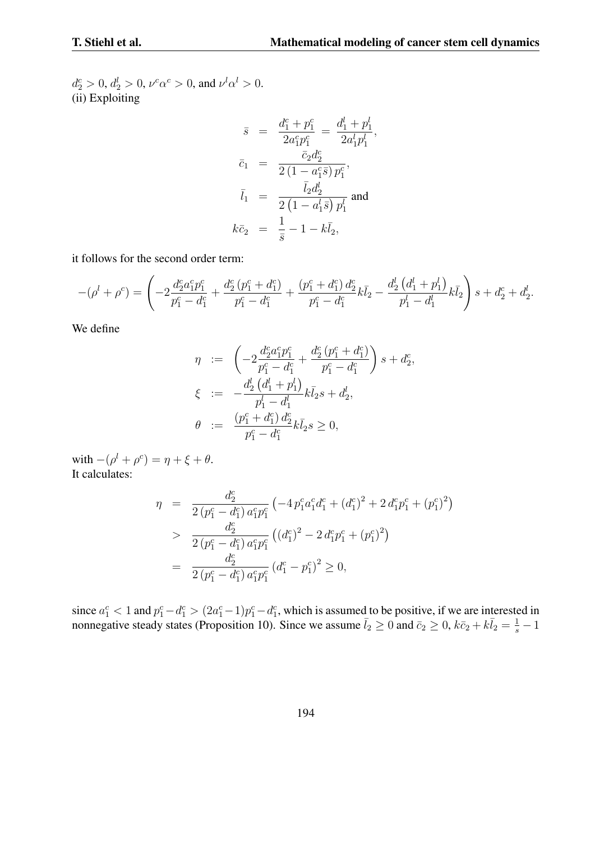$d_2^c > 0, d_2^l > 0, \nu^c \alpha^c > 0$ , and  $\nu^l \alpha^l > 0$ . (ii) Exploiting

$$
\bar{s} = \frac{d_1^c + p_1^c}{2a_1^c p_1^c} = \frac{d_1^l + p_1^l}{2a_1^l p_1^l},
$$
  
\n
$$
\bar{c}_1 = \frac{\bar{c}_2 d_2^c}{2(1 - a_1^c \bar{s}) p_1^c},
$$
  
\n
$$
\bar{l}_1 = \frac{\bar{l}_2 d_2^l}{2(1 - a_1^l \bar{s}) p_1^l} \text{ and}
$$
  
\n
$$
k\bar{c}_2 = \frac{1}{\bar{s}} - 1 - k\bar{l}_2,
$$

it follows for the second order term:

$$
-(\rho^l + \rho^c) = \left(-2\frac{d_2^c a_1^c p_1^c}{p_1^c - d_1^c} + \frac{d_2^c (p_1^c + d_1^c)}{p_1^c - d_1^c} + \frac{(p_1^c + d_1^c) d_2^c}{p_1^c - d_1^c} k\bar{l}_2 - \frac{d_2^l (d_1^l + p_1^l)}{p_1^l - d_1^l} k\bar{l}_2\right)s + d_2^c + d_2^l.
$$

We define

$$
\eta := \left( -2 \frac{d_2^c a_1^c p_1^c}{p_1^c - d_1^c} + \frac{d_2^c (p_1^c + d_1^c)}{p_1^c - d_1^c} \right) s + d_2^c,
$$
  
\n
$$
\xi := -\frac{d_2^l (d_1^l + p_1^l)}{p_1^l - d_1^l} k \bar{l}_2 s + d_2^l,
$$
  
\n
$$
\theta := \frac{(p_1^c + d_1^c) d_2^c}{p_1^c - d_1^c} k \bar{l}_2 s \ge 0,
$$

with  $-(\rho^l + \rho^c) = \eta + \xi + \theta$ . It calculates:

$$
\eta = \frac{d_2^c}{2(p_1^c - d_1^c) a_1^c p_1^c} \left( -4 p_1^c a_1^c d_1^c + (d_1^c)^2 + 2 d_1^c p_1^c + (p_1^c)^2 \right)
$$
  
> 
$$
\frac{d_2^c}{2(p_1^c - d_1^c) a_1^c p_1^c} \left( (d_1^c)^2 - 2 d_1^c p_1^c + (p_1^c)^2 \right)
$$
  
= 
$$
\frac{d_2^c}{2(p_1^c - d_1^c) a_1^c p_1^c} (d_1^c - p_1^c)^2 \ge 0,
$$

since  $a_1^c < 1$  and  $p_1^c - d_1^c > (2a_1^c - 1)p_1^c - d_1^c$ , which is assumed to be positive, if we are interested in nonnegative steady states (Proposition 10). Since we assume  $\bar{l}_2 \ge 0$  and  $\bar{c}_2 \ge 0$ ,  $k\bar{c}_2 + k\bar{l}_2 = \frac{1}{s} - 1$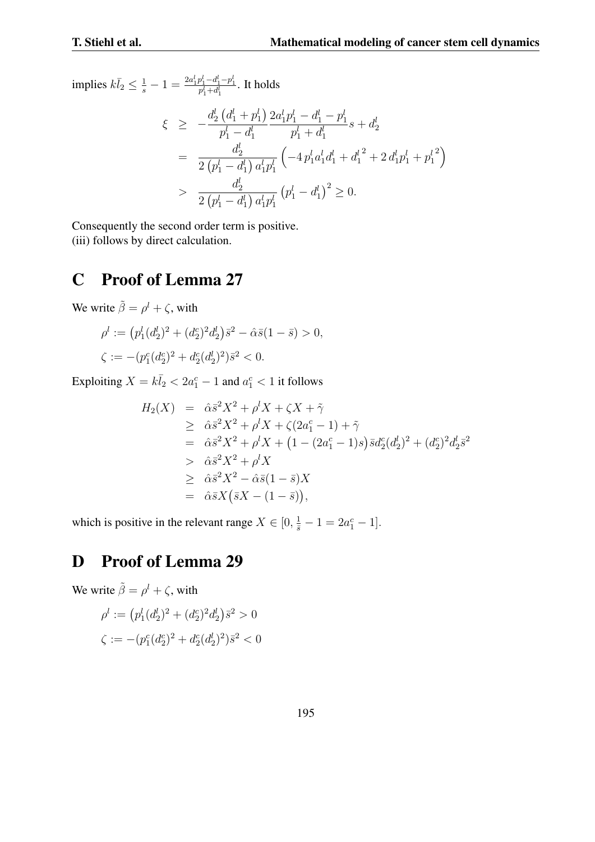$\text{implies } k\bar{l}_2 \leq \frac{1}{s} - 1 = \frac{2a_1^l p_1^l - d_1^l - p_1^l}{p_1^l + d_1^l}$ . It holds

$$
\xi \geq -\frac{d_2^l (d_1^l + p_1^l)}{p_1^l - d_1^l} \frac{2a_1^l p_1^l - d_1^l - p_1^l}{p_1^l + d_1^l} s + d_2^l
$$
\n
$$
= \frac{d_2^l}{2 (p_1^l - d_1^l) a_1^l p_1^l} \left( -4 p_1^l a_1^l d_1^l + d_1^{l^2} + 2 d_1^l p_1^l + p_1^{l^2} \right)
$$
\n
$$
> \frac{d_2^l}{2 (p_1^l - d_1^l) a_1^l p_1^l} (p_1^l - d_1^l)^2 \geq 0.
$$

Consequently the second order term is positive. (iii) follows by direct calculation.

## C Proof of Lemma 27

We write  $\tilde{\beta} = \rho^l + \zeta$ , with

$$
\begin{aligned} \rho^l &:= \left(p_1^l(d_2^l)^2 + (d_2^c)^2 d_2^l\right) \bar{s}^2 - \hat{\alpha} \bar{s} (1 - \bar{s}) > 0, \\ \zeta &:= -(p_1^c(d_2^c)^2 + d_2^c(d_2^l)^2) \bar{s}^2 < 0. \end{aligned}
$$

Exploiting  $X = k\bar{l}_2 < 2a_1^c - 1$  and  $a_1^c < 1$  it follows

$$
H_2(X) = \hat{\alpha}\bar{s}^2 X^2 + \rho^l X + \zeta X + \tilde{\gamma}
$$
  
\n
$$
\geq \hat{\alpha}\bar{s}^2 X^2 + \rho^l X + \zeta (2a_1^c - 1) + \tilde{\gamma}
$$
  
\n
$$
= \hat{\alpha}\bar{s}^2 X^2 + \rho^l X + (1 - (2a_1^c - 1)s)\bar{s}d_2^c (d_2^l)^2 + (d_2^c)^2 d_2^l \bar{s}^2
$$
  
\n
$$
> \hat{\alpha}\bar{s}^2 X^2 + \rho^l X
$$
  
\n
$$
\geq \hat{\alpha}\bar{s}^2 X^2 - \hat{\alpha}\bar{s} (1 - \bar{s})X
$$
  
\n
$$
= \hat{\alpha}\bar{s}X (\bar{s}X - (1 - \bar{s})),
$$

which is positive in the relevant range  $X \in [0, \frac{1}{s} - 1 = 2a_1^c - 1]$ *.* 

# D Proof of Lemma 29

We write  $\tilde{\beta} = \rho^l + \zeta$ , with

$$
\rho^l := \left( p_1^l (d_2^l)^2 + (d_2^c)^2 d_2^l \right) \bar{s}^2 > 0
$$
  

$$
\zeta := -(p_1^c (d_2^c)^2 + d_2^c (d_2^l)^2) \bar{s}^2 < 0
$$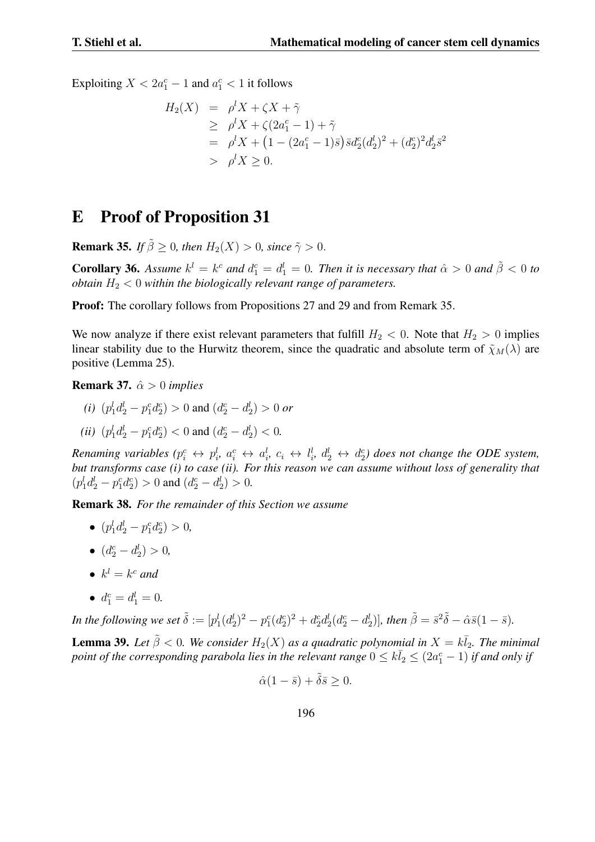Exploiting  $X < 2a_1^c - 1$  and  $a_1^c < 1$  it follows

$$
H_2(X) = \rho^l X + \zeta X + \tilde{\gamma}
$$
  
\n
$$
\geq \rho^l X + \zeta (2a_1^c - 1) + \tilde{\gamma}
$$
  
\n
$$
= \rho^l X + (1 - (2a_1^c - 1)\bar{s}) \bar{s} d_2^c (d_2^l)^2 + (d_2^c)^2 d_2^l \bar{s}^2
$$
  
\n
$$
> \rho^l X \geq 0.
$$

## E Proof of Proposition 31

**Remark 35.** *If*  $\tilde{\beta} > 0$ *, then*  $H_2(X) > 0$ *, since*  $\tilde{\gamma} > 0$ *.* 

**Corollary 36.** Assume  $k^l = k^c$  and  $d_1^c = d_1^l = 0$ . Then it is necessary that  $\hat{\alpha} > 0$  and  $\tilde{\beta} < 0$  to *obtain*  $H_2 < 0$  *within the biologically relevant range of parameters.* 

Proof: The corollary follows from Propositions 27 and 29 and from Remark 35.

We now analyze if there exist relevant parameters that fulfill  $H_2 < 0$ . Note that  $H_2 > 0$  implies linear stability due to the Hurwitz theorem, since the quadratic and absolute term of  $\tilde{\chi}_M(\lambda)$  are positive (Lemma 25).

Remark 37. *α >*ˆ 0 *implies*

- $(i)$   $(p_1^l d_2^l p_1^c d_2^c) > 0$  and  $(d_2^c d_2^l) > 0$  *or*
- *(ii)*  $(p_1^l d_2^l p_1^c d_2^c) < 0$  and  $(d_2^c d_2^l) < 0$ .

Renaming variables  $(p_i^c \leftrightarrow p_i^l, a_i^c \leftrightarrow a_i^l, c_i \leftrightarrow l_i^l, d_2^l \leftrightarrow d_2^c)$  does not change the ODE system, *but transforms case (i) to case (ii). For this reason we can assume without loss of generality that*  $(p_1^l d_2^l - p_1^c d_2^c) > 0$  and  $(d_2^c - d_2^l) > 0$ .

Remark 38. *For the remainder of this Section we assume*

- $(p_1^l d_2^l p_1^c d_2^c) > 0,$
- $(d_2^c d_2^l) > 0$ ,
- $k^l = k^c$  *and*
- $d_1^c = d_1^l = 0.$

In the following we set  $\tilde{\delta} := [p_1^l(d_2^l)^2 - p_1^c(d_2^c)^2 + d_2^c d_2^l (d_2^c - d_2^l)],$  then  $\tilde{\beta} = \bar{s}^2 \tilde{\delta} - \hat{\alpha} \bar{s} (1 - \bar{s}).$ 

**Lemma 39.** Let  $\tilde{\beta} < 0$ . We consider  $H_2(X)$  as a quadratic polynomial in  $X = k\overline{l}_2$ . The minimal *point of the corresponding parabola lies in the relevant range*  $0 \leq k \overline{l}_2 \leq (2a_1^c - 1)$  *if and only if* 

$$
\hat{\alpha}(1-\bar{s}) + \tilde{\delta}\bar{s} \ge 0.
$$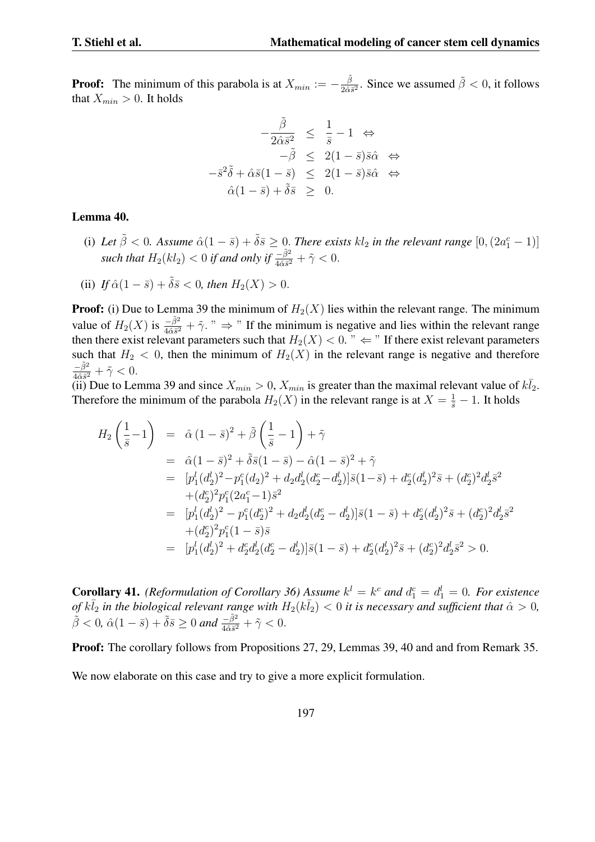**Proof:** The minimum of this parabola is at  $X_{min} := -\frac{\tilde{\beta}}{2\tilde{\alpha}i}$  $\frac{\tilde{\beta}}{2\tilde{\alpha}\tilde{s}^2}$ . Since we assumed  $\tilde{\beta} < 0$ , it follows that  $X_{min} > 0$ . It holds

$$
-\frac{\tilde{\beta}}{2\hat{\alpha}\bar{s}^2} \leq \frac{1}{\bar{s}} - 1 \Leftrightarrow -\tilde{\beta} \leq 2(1 - \bar{s})\bar{s}\hat{\alpha} \Leftrightarrow -\bar{s}^2\tilde{\delta} + \hat{\alpha}\bar{s}(1 - \bar{s}) \leq 2(1 - \bar{s})\bar{s}\hat{\alpha} \Leftrightarrow \hat{\alpha}(1 - \bar{s}) + \tilde{\delta}\bar{s} \geq 0.
$$

#### Lemma 40.

(i) Let  $\tilde{\beta} < 0$ . Assume  $\hat{\alpha}(1 - \bar{s}) + \tilde{\delta}\bar{s} \geq 0$ . There exists  $kl_2$  in the relevant range  $[0, (2a_1^c - 1)]$ *such that*  $H_2(kl_2) < 0$  *if and only if*  $\frac{-\tilde{\beta}^2}{4\tilde{\alpha}\tilde{s}^2} + \tilde{\gamma} < 0$ .

(ii) If 
$$
\hat{\alpha}(1-\bar{s}) + \tilde{\delta}\bar{s} < 0
$$
, then  $H_2(X) > 0$ .

**Proof:** (i) Due to Lemma 39 the minimum of  $H_2(X)$  lies within the relevant range. The minimum value of  $H_2(X)$  is  $\frac{-\tilde{\beta}^2}{4\tilde{\alpha}\tilde{s}^2} + \tilde{\gamma}$ . "  $\Rightarrow$  " If the minimum is negative and lies within the relevant range then there exist relevant parameters such that  $H_2(X) < 0$ . "  $\Leftarrow$  " If there exist relevant parameters such that  $H_2 < 0$ , then the minimum of  $H_2(X)$  in the relevant range is negative and therefore  $\frac{-\tilde{\beta}^2}{4\hat{\alpha}\bar{s}^2} + \tilde{\gamma} < 0.$ 

(ii) Due to Lemma 39 and since  $X_{min} > 0$ ,  $X_{min}$  is greater than the maximal relevant value of  $k\overline{l}_2$ . Therefore the minimum of the parabola  $H_2(X)$  in the relevant range is at  $X = \frac{1}{\overline{s}} - 1$ . It holds

$$
H_2\left(\frac{1}{\bar{s}}-1\right) = \hat{\alpha}(1-\bar{s})^2 + \tilde{\beta}\left(\frac{1}{\bar{s}}-1\right) + \tilde{\gamma}
$$
  
\n
$$
= \hat{\alpha}(1-\bar{s})^2 + \tilde{\delta}\bar{s}(1-\bar{s}) - \hat{\alpha}(1-\bar{s})^2 + \tilde{\gamma}
$$
  
\n
$$
= [p_1^l(d_2^l)^2 - p_1^c(d_2^l)^2 + d_2d_2^l(d_2^c - d_2^l)]\bar{s}(1-\bar{s}) + d_2^c(d_2^l)^2\bar{s} + (d_2^c)^2d_2^l\bar{s}^2
$$
  
\n
$$
+ (d_2^c)^2p_1^c(2a_1^c - 1)\bar{s}^2
$$
  
\n
$$
= [p_1^l(d_2^l)^2 - p_1^c(d_2^c)^2 + d_2d_2^l(d_2^c - d_2^l)]\bar{s}(1-\bar{s}) + d_2^c(d_2^l)^2\bar{s} + (d_2^c)^2d_2^l\bar{s}^2
$$
  
\n
$$
+ (d_2^c)^2p_1^c(1-\bar{s})\bar{s}
$$
  
\n
$$
= [p_1^l(d_2^l)^2 + d_2^c d_2^l(d_2^c - d_2^l)]\bar{s}(1-\bar{s}) + d_2^c(d_2^l)^2\bar{s} + (d_2^c)^2d_2^l\bar{s}^2 > 0.
$$

**Corollary 41.** *(Reformulation of Corollary 36)* Assume  $k^l = k^c$  and  $d_1^c = d_1^l = 0$ . For existence *of*  $k\overline{l}_2$  *in the biological relevant range with*  $H_2(k\overline{l}_2) < 0$  *it is necessary and sufficient that*  $\hat{\alpha} > 0$ *,*  $\tilde{\beta} < 0$ ,  $\hat{\alpha}(1 - \bar{s}) + \tilde{\delta}\bar{s} \ge 0$  *and*  $\frac{-\tilde{\beta}^2}{4\hat{\alpha}\bar{s}^2} + \tilde{\gamma} < 0$ .

Proof: The corollary follows from Propositions 27, 29, Lemmas 39, 40 and and from Remark 35.

We now elaborate on this case and try to give a more explicit formulation.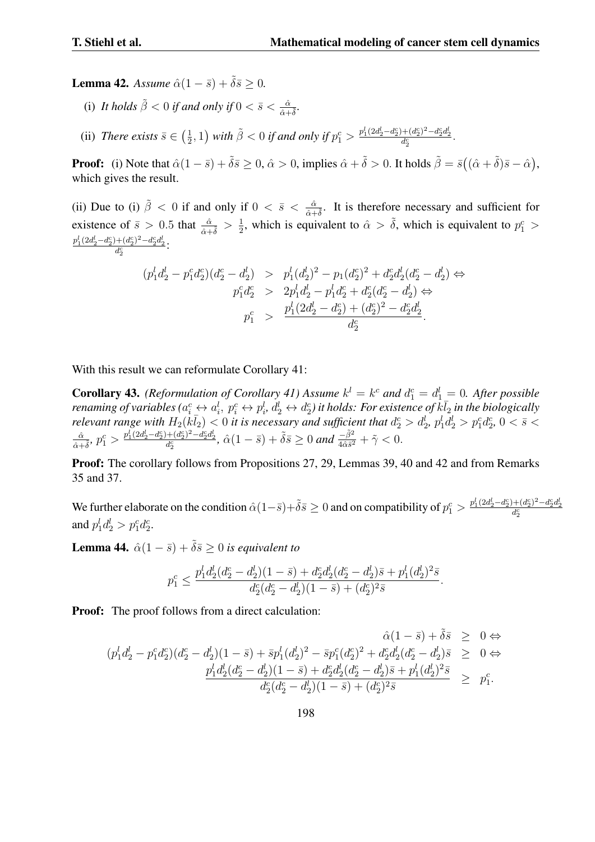**Lemma 42.** *Assume*  $\hat{\alpha}(1-\bar{s}) + \tilde{\delta}\bar{s} \geq 0$ .

(i) It holds  $\tilde{\beta} < 0$  if and only if  $0 < \bar{s} < \frac{\hat{\alpha}}{\hat{\alpha} + \tilde{\delta}}$ .

(ii) *There exists*  $\bar{s} \in \left(\frac{1}{2}\right)$  $(\frac{1}{2},1)$  with  $\tilde{\beta} < 0$  if and only if  $p_1^c > \frac{p_1^l(2d_2^l - d_2^c) + (d_2^c)^2 - d_2^c d_2^l}{d_2^c}.$ 

**Proof:** (i) Note that  $\hat{\alpha}(1-\bar{s}) + \tilde{\delta}\bar{s} \ge 0$ ,  $\hat{\alpha} > 0$ , implies  $\hat{\alpha} + \tilde{\delta} > 0$ . It holds  $\tilde{\beta} = \bar{s}((\hat{\alpha} + \tilde{\delta})\bar{s} - \hat{\alpha})$ , which gives the result.

(ii) Due to (i)  $\tilde{\beta} < 0$  if and only if  $0 < \bar{s} < \frac{\hat{\alpha}}{\hat{\alpha} + \tilde{\delta}}$ . It is therefore necessary and sufficient for existence of  $\bar{s} > 0.5$  that  $\frac{\hat{\alpha}}{\hat{\alpha} + \tilde{\delta}} > \frac{1}{2}$  $\frac{1}{2}$ , which is equivalent to  $\hat{\alpha} > \tilde{\delta}$ , which is equivalent to  $p_1^c$  $\frac{p_1^l(2d_2^l - d_2^c) + (d_2^c)^2 - d_2^c d_2^l}{d_2^c}$ :

$$
(p_1^l d_2^l - p_1^c d_2^c)(d_2^c - d_2^l) > p_1^l (d_2^l)^2 - p_1 (d_2^c)^2 + d_2^c d_2^l (d_2^c - d_2^l) \Leftrightarrow
$$
  
\n
$$
p_1^c d_2^c > 2p_1^l d_2^l - p_1^l d_2^c + d_2^c (d_2^c - d_2^l) \Leftrightarrow
$$
  
\n
$$
p_1^c > \frac{p_1^l (2d_2^l - d_2^c) + (d_2^c)^2 - d_2^c d_2^l}{d_2^c}.
$$

With this result we can reformulate Corollary 41:

**Corollary 43.** *(Reformulation of Corollary 41) Assume*  $k^l = k^c$  *and*  $d_1^c = d_1^l = 0$ . *After possible* renaming of variables  $(a_i^c \leftrightarrow a_i^l, p_i^c \leftrightarrow p_i^l, d_2^l \leftrightarrow d_2^c)$  it holds: For existence of  $k\overline{l}_2$  in the biologically relevant range with  $H_2(k\bar{l}_2)$  < 0 it is necessary and sufficient that  $d_2^c > d_2^l$ ,  $p_1^l d_2^l > p_1^c d_2^c$ ,  $0 < \bar{s} <$  $\frac{\hat{\alpha}}{\hat{\alpha}+\tilde{\delta}},\, p_1^c>\frac{p_1^l(2d_2^l-d_2^c)+(d_2^c)^2-d_2^cd_2^l}{d_2^c},\, \hat{\alpha}(1-\bar{s})+\tilde{\delta}\bar{s}\geq 0$  and  $\frac{-\tilde{\beta}^2}{4\hat{\alpha}\bar{s}^2}+\tilde{\gamma}< 0.$ 

Proof: The corollary follows from Propositions 27, 29, Lemmas 39, 40 and 42 and from Remarks 35 and 37.

We further elaborate on the condition  $\hat{\alpha}(1-\bar{s})+\tilde{\delta}\bar{s} \ge 0$  and on compatibility of  $p_1^c > \frac{p_1^l (2d_2^l - d_2^c) + (d_2^c)^2 - d_2^c d_2^l}{d_2^c}$ and  $p_1^l d_2^l > p_1^c d_2^c$ .

**Lemma 44.**  $\hat{\alpha}(1-\bar{s}) + \tilde{\delta}\bar{s} \geq 0$  *is equivalent to* 

$$
p_1^c \le \frac{p_1^l d_2^l (d_2^c - d_2^l)(1 - \bar{s}) + d_2^c d_2^l (d_2^c - d_2^l)\bar{s} + p_1^l (d_2^l)^2 \bar{s}}{d_2^c (d_2^c - d_2^l)(1 - \bar{s}) + (d_2^c)^2 \bar{s}}.
$$

**Proof:** The proof follows from a direct calculation:

$$
\begin{array}{rcl} \hat{\alpha}(1-\bar{s})+\tilde{\delta}\bar{s} & \geq & 0 \Leftrightarrow \\ (p_1^l d_2^l - p_1^c d_2^c)(d_2^c - d_2^l)(1-\bar{s}) + \bar{s} p_1^l (d_2^l)^2 - \bar{s} p_1^c (d_2^c)^2 + d_2^c d_2^l (d_2^c - d_2^l)\bar{s} & \geq & 0 \Leftrightarrow \\ & & \frac{p_1^l d_2^l (d_2^c - d_2^l)(1-\bar{s}) + d_2^c d_2^l (d_2^c - d_2^l)\bar{s} + p_1^l (d_2^l)^2\bar{s}}{d_2^c (d_2^c - d_2^l)(1-\bar{s}) + (d_2^c)^2\bar{s}} & \geq & p_1^c. \end{array}
$$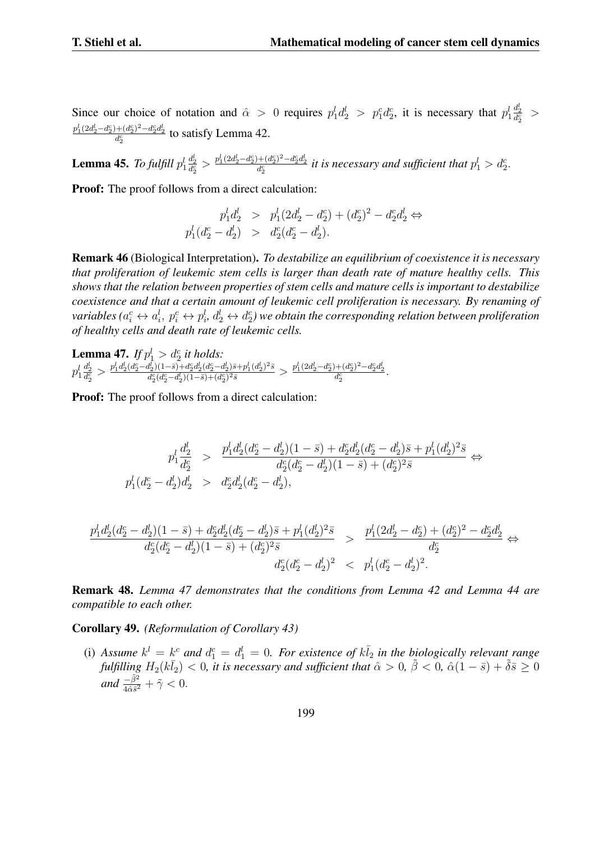Since our choice of notation and  $\hat{\alpha} > 0$  requires  $p_1^l d_2^l > p_1^c d_2^c$ , it is necessary that  $p_1^l$  $\frac{d_2^l}{d_2^c}$  >  $\frac{p_1^l(2d_2^l - d_2^c) + (d_2^c)^2 - d_2^c d_2^l}{d_2^c}$  to satisfy Lemma 42.

Lemma 45. *To fulfill p l* 1  $\frac{d_2^l}{d_2^c} > \frac{p_1^l(2d_2^l - d_2^c) + (d_2^c)^2 - d_2^c d_2^l}{d_2^c}$  it is necessary and sufficient that  $p_1^l > d_2^c$ .

Proof: The proof follows from a direct calculation:

$$
p_1^l d_2^l > p_1^l (2d_2^l - d_2^c) + (d_2^c)^2 - d_2^c d_2^l \Leftrightarrow
$$
  

$$
p_1^l (d_2^c - d_2^l) > d_2^c (d_2^c - d_2^l).
$$

Remark 46 (Biological Interpretation). *To destabilize an equilibrium of coexistence it is necessary that proliferation of leukemic stem cells is larger than death rate of mature healthy cells. This shows that the relation between properties of stem cells and mature cells is important to destabilize coexistence and that a certain amount of leukemic cell proliferation is necessary. By renaming of* variables ( $a_i^c\leftrightarrow a_i^l,\ p_i^c\leftrightarrow p_i^l,\ d_2^l\leftrightarrow d_2^c$ ) we obtain the corresponding relation between proliferation *of healthy cells and death rate of leukemic cells.*

**Lemma 47.** *If*  $p_1^l > d_2^c$  *it holds:*  $p_1^l$  $\frac{d_2^l}{d_2^c} > \frac{p_1^l d_2^l (d_2^c - d_2^l) (1-\bar{s}) + d_2^c d_2^l (d_2^c - d_2^l) \bar{s} + p_1^l (d_2^l)^2 \bar{s} }{d_2^c (d_2^c - d_2^l) (1-\bar{s}) + (d_2^c)^2 \bar{s}}$  $\frac{d_2^l)(1-\bar{s})+d_2^cd_2^l(d_2^c-d_2^l)\bar{s}+p_1^l(d_2^l)^2\bar{s}}{d_2^c(d_2^c-d_2^l)(1-\bar{s})+(d_2^c)^2\bar{s}}>\frac{p_1^l(2d_2^l-d_2^c)+(d_2^c)^2-d_2^cd_2^l}{d_2^c}.$ 

**Proof:** The proof follows from a direct calculation:

$$
\begin{array}{ccccc} & p_1^l\frac{d_2^l}{d_2^c} & > & \frac{p_1^l d_2^l (d_2^c - d_2^l)(1-\bar{s}) + d_2^c d_2^l (d_2^c - d_2^l)\bar{s} + p_1^l (d_2^l)^2 \bar{s}}{d_2^c (d_2^c - d_2^l)(1-\bar{s}) + (d_2^c)^2 \bar{s}} & \Leftrightarrow & \\ & p_1^l (d_2^c - d_2^l) d_2^l & > & d_2^c d_2^l (d_2^c - d_2^l), \end{array}
$$

$$
\frac{p_1^l d_2^l (d_2^c - d_2^l)(1 - \bar{s}) + d_2^c d_2^l (d_2^c - d_2^l)\bar{s} + p_1^l (d_2^l)^2 \bar{s}}{d_2^c (d_2^c - d_2^l)(1 - \bar{s}) + (d_2^c)^2 \bar{s}} > \frac{p_1^l (2d_2^l - d_2^c) + (d_2^c)^2 - d_2^c d_2^l}{d_2^c} \Leftrightarrow
$$
  

$$
\frac{d_2^c (d_2^c - d_2^l)^2}{d_2^c (d_2^c - d_2^l)^2} < p_1^l (d_2^c - d_2^l)^2.
$$

Remark 48. *Lemma 47 demonstrates that the conditions from Lemma 42 and Lemma 44 are compatible to each other.*

Corollary 49. *(Reformulation of Corollary 43)*

(i) Assume  $k^l = k^c$  and  $d_1^c = d_1^l = 0$ . For existence of  $k \overline{l}_2$  in the biologically relevant range *fulfilling*  $H_2(k\bar{l}_2) < 0$ , it is necessary and sufficient that  $\hat{\alpha} > 0$ ,  $\tilde{\beta} < 0$ ,  $\hat{\alpha}(1-\bar{s}) + \tilde{\delta}\bar{s} \geq 0$  $and \frac{-\tilde{\beta}^2}{4\hat{\alpha}\bar{s}^2} + \tilde{\gamma} < 0.$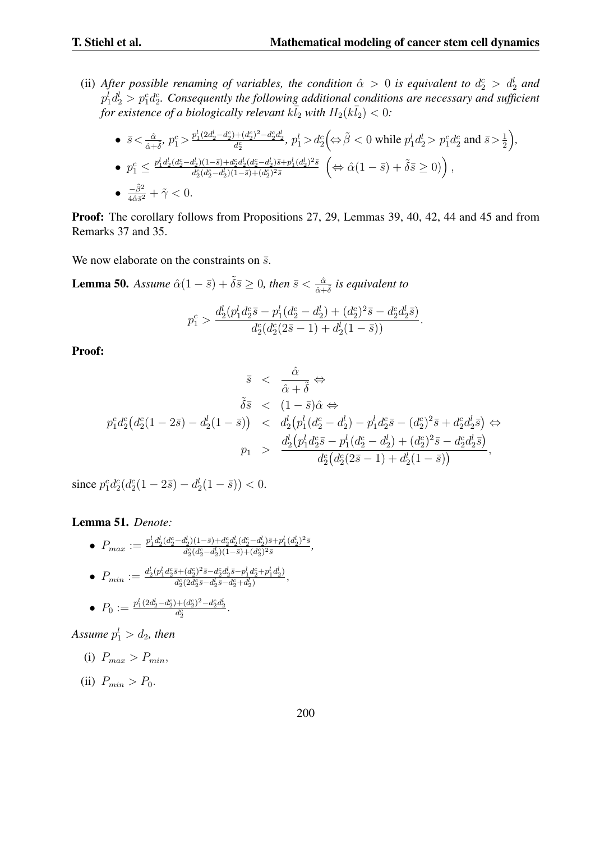(ii) *After possible renaming of variables, the condition*  $\hat{\alpha} > 0$  *is equivalent to*  $d_2^c > d_2^l$  *and*  $p_1^l d_2^l > p_1^c d_2^c$ . Consequently the following additional conditions are necessary and sufficient *for existence of a biologically relevant*  $k\bar{l}_2$  *with*  $H_2(k\bar{l}_2) < 0$ :

\n- \n
$$
\bar{s} < \frac{\hat{\alpha}}{\hat{\alpha} + \hat{\delta}}, \, p_1^c > \frac{p_1^l (2d_2^l - d_2^c) + (d_2^c)^2 - d_2^c d_2^l}{d_2^c}, \, p_1^l > d_2^c \left( \Leftrightarrow \tilde{\beta} < 0 \text{ while } p_1^l d_2^l > p_1^c d_2^c \text{ and } \bar{s} > \frac{1}{2} \right),
$$
\n
\n- \n $p_1^c \leq \frac{p_1^l d_2^l (d_2^c - d_2^l)(1 - \bar{s}) + d_2^c d_2^l (d_2^c - d_2^l) \bar{s} + p_1^l (d_2^l)^2 \bar{s}}{d_2^c (d_2^c - d_2^l)(1 - \bar{s}) + (d_2^c)^2 \bar{s}} \quad \left( \Leftrightarrow \hat{\alpha} (1 - \bar{s}) + \hat{\delta} \bar{s} \geq 0) \right),$ \n
\n- \n $\frac{-\tilde{\beta}^2}{4\hat{\alpha} \bar{s}^2} + \tilde{\gamma} < 0.$ \n
\n

Proof: The corollary follows from Propositions 27, 29, Lemmas 39, 40, 42, 44 and 45 and from Remarks 37 and 35.

We now elaborate on the constraints on  $\bar{s}$ .

**Lemma 50.** Assume  $\hat{\alpha}(1-\bar{s})+\tilde{\delta}\bar{s}\geq 0$ , then  $\bar{s}<\frac{\hat{\alpha}}{\hat{\alpha}+\tilde{\delta}}$  is equivalent to

$$
p_1^c > \frac{d_2^l(p_1^l d_2^c \bar{s} - p_1^l (d_2^c - d_2^l) + (d_2^c)^2 \bar{s} - d_2^c d_2^l \bar{s})}{d_2^c (d_2^c (2\bar{s} - 1) + d_2^l (1 - \bar{s}))}.
$$

Proof:

$$
\bar{s} < \frac{\hat{\alpha}}{\hat{\alpha} + \tilde{\delta}} \Leftrightarrow \n\tilde{\delta}\bar{s} < (1 - \bar{s})\hat{\alpha} \Leftrightarrow \n p_1^c d_2^c (d_2^c (1 - 2\bar{s}) - d_2^l (1 - \bar{s})) < d_2^l (p_1^l (d_2^c - d_2^l) - p_1^l d_2^c \bar{s} - (d_2^c)^2 \bar{s} + d_2^c d_2^l \bar{s}) \Leftrightarrow \n p_1 > \frac{d_2^l (p_1^l d_2^c \bar{s} - p_1^l (d_2^c - d_2^l) + (d_2^c)^2 \bar{s} - d_2^c d_2^l \bar{s})}{d_2^c (d_2^c (2\bar{s} - 1) + d_2^l (1 - \bar{s}))},
$$

since  $p_1^c d_2^c (d_2^c (1 - 2\bar{s}) - d_2^l (1 - \bar{s})) < 0.$ 

#### Lemma 51. *Denote:*

 $\bullet$   $P_{max} := \frac{p_1^l d_2^l (d_2^c - d_2^l)(1-\bar{s}) + d_2^c d_2^l (d_2^c - d_2^l)\bar{s} + p_1^l (d_2^l)^2 \bar{s}}{d_2^c (d_2^c - d_2^l)(1-\bar{s}) + (d_2^c)^2 \bar{s}}$  $\frac{d_2^c (d_2^c - d_2^l)(1-\bar{s}) + (d_2^c)^2 \bar{s}}{d_2^c (d_2^c - d_2^l)(1-\bar{s}) + (d_2^c)^2 \bar{s}},$  $\bullet$   $P_{min} := \frac{d_2^l(p_1^l d_2^c \bar{s} + (d_2^c)^2 \bar{s} - d_2^c d_2^l \bar{s} - p_1^l d_2^c + p_1^l d_2^l)}{d_2^c (2d_2^c \bar{s} - d_2^l \bar{s} - d_2^c + d_2^l)}$  $\frac{d^2(2d^2_2\bar{s}-d^1_2\bar{s}-d^2_2+d^1_2)}{d^2_2(2d^2_2\bar{s}-d^1_2\bar{s}-d^2_2+d^1_2)},$ 

• 
$$
P_0 := \frac{p_1^l (2d_2^l - d_2^c) + (d_2^c)^2 - d_2^c d_2^l}{d_2^c}.
$$

Assume  $p_1^l > d_2$ , then

- (i)  $P_{max} > P_{min}$
- (ii)  $P_{min} > P_0$ .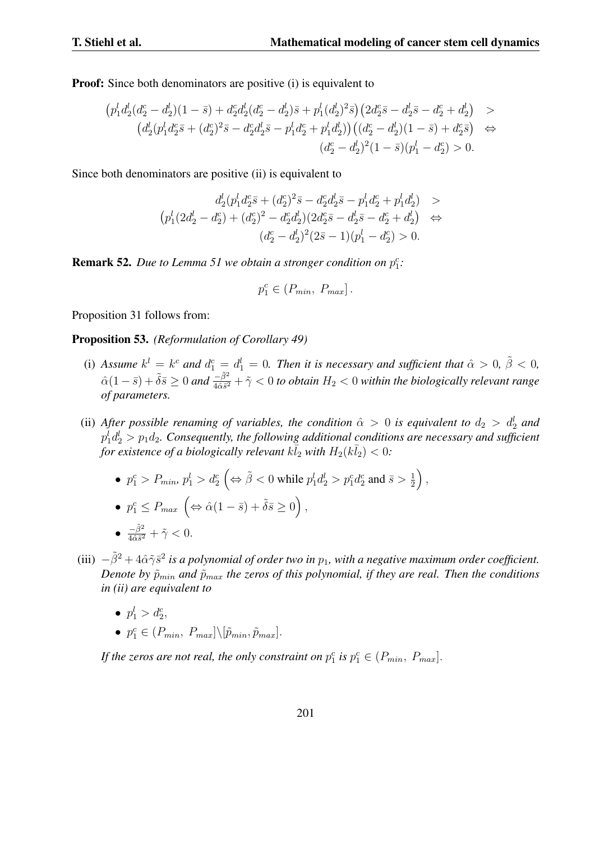**Proof:** Since both denominators are positive (i) is equivalent to

$$
(p_1^l d_2^l (d_2^c - d_2^l)(1 - \bar{s}) + d_2^c d_2^l (d_2^c - d_2^l) \bar{s} + p_1^l (d_2^l)^2 \bar{s}) (2d_2^c \bar{s} - d_2^l \bar{s} - d_2^c + d_2^l) >
$$
  

$$
(d_2^l (p_1^l d_2^c \bar{s} + (d_2^c)^2 \bar{s} - d_2^c d_2^l \bar{s} - p_1^l d_2^c + p_1^l d_2^l)) ((d_2^c - d_2^l)(1 - \bar{s}) + d_2^c \bar{s}) \Leftrightarrow
$$
  

$$
(d_2^c - d_2^l)^2 (1 - \bar{s})(p_1^l - d_2^c) > 0.
$$

Since both denominators are positive (ii) is equivalent to

$$
d_2^l (p_1^l d_2^c \bar{s} + (d_2^c)^2 \bar{s} - d_2^c d_2^l \bar{s} - p_1^l d_2^c + p_1^l d_2^l) >
$$
  
\n
$$
(p_1^l (2d_2^l - d_2^c) + (d_2^c)^2 - d_2^c d_2^l)(2d_2^c \bar{s} - d_2^l \bar{s} - d_2^c + d_2^l) \Leftrightarrow
$$
  
\n
$$
(d_2^c - d_2^l)^2 (2\bar{s} - 1)(p_1^l - d_2^c) > 0.
$$

**Remark 52.** *Due to Lemma 51 we obtain a stronger condition on*  $p_1^c$ *:* 

$$
p_1^c \in (P_{min}, P_{max}].
$$

Proposition 31 follows from:

Proposition 53. *(Reformulation of Corollary 49)*

- (i) Assume  $k^l = k^c$  and  $d_1^c = d_1^l = 0$ . Then it is necessary and sufficient that  $\hat{\alpha} > 0$ ,  $\tilde{\beta} < 0$ ,  $\hat{\alpha}(1-\bar{s})+\tilde{\delta}\bar{s}\geq0$  and  $\frac{-\tilde{\beta}^2}{4\hat{\alpha}\bar{s}^2}+\tilde{\gamma}<0$  to obtain  $H_2<0$  within the biologically relevant range *of parameters.*
- (ii) *After possible renaming of variables, the condition*  $\hat{\alpha} > 0$  *is equivalent to*  $d_2 > d_2^l$  *and*  $p_1^l d_2^l > p_1 d_2$ . Consequently, the following additional conditions are necessary and sufficient *for existence of a biologically relevant*  $k\bar{l}_2$  *with*  $H_2(k\bar{l}_2) < 0$ :
	- $p_1^c > P_{min}$ ,  $p_1^l > d_2^c$   $\left(\Leftrightarrow \tilde{\beta} < 0 \text{ while } p_1^l d_2^l > p_1^c d_2^c \text{ and } \bar{s} > \frac{1}{2}\right)$  $\frac{1}{2}$ ,

• 
$$
p_1^c \le P_{max} \left( \Leftrightarrow \hat{\alpha}(1-\bar{s}) + \tilde{\delta}\bar{s} \ge 0 \right),
$$

- $\frac{-\tilde{\beta}^2}{4\hat{\alpha}\bar{s}^2} + \tilde{\gamma} < 0.$
- (iii) *<sup>−</sup>β*˜<sup>2</sup> + 4ˆ*αγ*˜*s*¯ 2 *is a polynomial of order two in p*1*, with a negative maximum order coefficient. Denote by*  $\tilde{p}_{min}$  *and*  $\tilde{p}_{max}$  *the zeros of this polynomial, if they are real. Then the conditions in (ii) are equivalent to*
	- $p_1^l > d_2^c$
	- $p_1^c \in (P_{min}, P_{max}] \setminus [\tilde{p}_{min}, \tilde{p}_{max}]$ .

If the zeros are not real, the only constraint on  $p_1^c$  is  $p_1^c \in (P_{min}, P_{max}]$ .